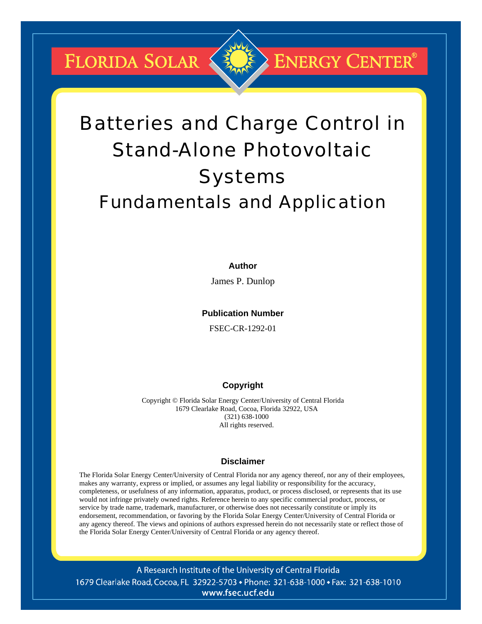**FLORIDA SOLAR &** 



# Batteries and Charge Control in Stand-Alone Photovoltaic Systems *Fundamentals and Application*

**Author** 

James P. Dunlop

### **Publication Number**

FSEC-CR-1292-01

### **Copyright**

Copyright © Florida Solar Energy Center/University of Central Florida 1679 Clearlake Road, Cocoa, Florida 32922, USA (321) 638-1000 All rights reserved.

### **Disclaimer**

The Florida Solar Energy Center/University of Central Florida nor any agency thereof, nor any of their employees, makes any warranty, express or implied, or assumes any legal liability or responsibility for the accuracy, completeness, or usefulness of any information, apparatus, product, or process disclosed, or represents that its use would not infringe privately owned rights. Reference herein to any specific commercial product, process, or service by trade name, trademark, manufacturer, or otherwise does not necessarily constitute or imply its endorsement, recommendation, or favoring by the Florida Solar Energy Center/University of Central Florida or any agency thereof. The views and opinions of authors expressed herein do not necessarily state or reflect those of the Florida Solar Energy Center/University of Central Florida or any agency thereof.

A Research Institute of the University of Central Florida 1679 Clearlake Road, Cocoa, FL 32922-5703 • Phone: 321-638-1000 • Fax: 321-638-1010 www.fsec.ucf.edu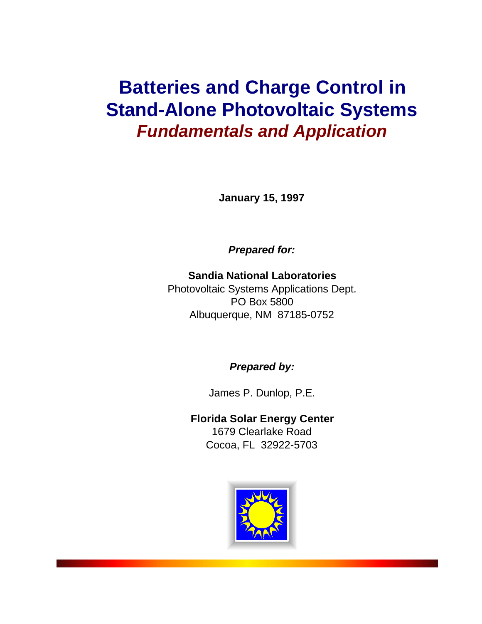# **Batteries and Charge Control in Stand-Alone Photovoltaic Systems** *Fundamentals and Application*

**January 15, 1997**

*Prepared for:*

### **Sandia National Laboratories**

Photovoltaic Systems Applications Dept. PO Box 5800 Albuquerque, NM 87185-0752

*Prepared by:*

James P. Dunlop, P.E.

**Florida Solar Energy Center** 1679 Clearlake Road Cocoa, FL 32922-5703

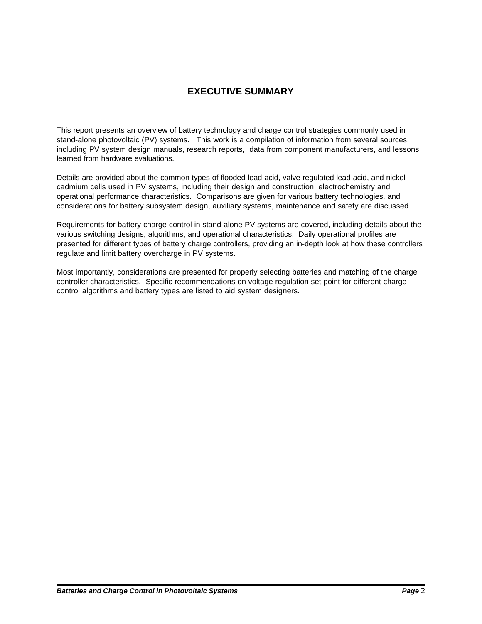### **EXECUTIVE SUMMARY**

This report presents an overview of battery technology and charge control strategies commonly used in stand-alone photovoltaic (PV) systems. This work is a compilation of information from several sources, including PV system design manuals, research reports, data from component manufacturers, and lessons learned from hardware evaluations.

Details are provided about the common types of flooded lead-acid, valve regulated lead-acid, and nickelcadmium cells used in PV systems, including their design and construction, electrochemistry and operational performance characteristics. Comparisons are given for various battery technologies, and considerations for battery subsystem design, auxiliary systems, maintenance and safety are discussed.

Requirements for battery charge control in stand-alone PV systems are covered, including details about the various switching designs, algorithms, and operational characteristics. Daily operational profiles are presented for different types of battery charge controllers, providing an in-depth look at how these controllers regulate and limit battery overcharge in PV systems.

Most importantly, considerations are presented for properly selecting batteries and matching of the charge controller characteristics. Specific recommendations on voltage regulation set point for different charge control algorithms and battery types are listed to aid system designers.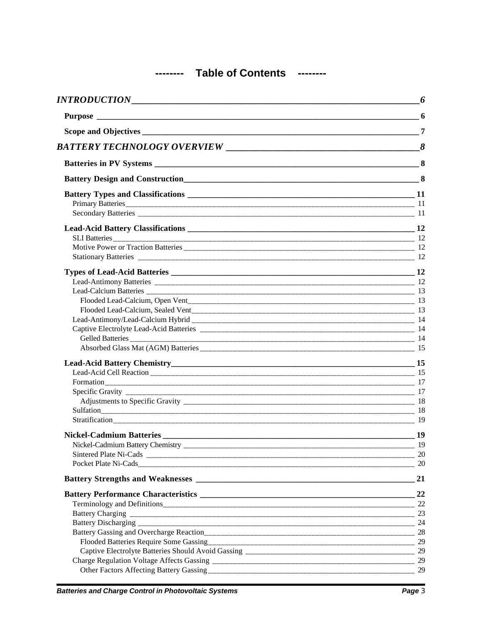**-------- Table of Contents --------**

|                                                | 6  |
|------------------------------------------------|----|
|                                                |    |
|                                                |    |
|                                                |    |
|                                                |    |
| Battery Design and Construction<br>8           |    |
|                                                |    |
|                                                |    |
|                                                |    |
|                                                |    |
|                                                |    |
|                                                |    |
|                                                |    |
| Types of Lead-Acid Batteries 12                |    |
|                                                |    |
|                                                |    |
|                                                |    |
|                                                |    |
|                                                |    |
|                                                |    |
|                                                |    |
|                                                |    |
|                                                |    |
|                                                |    |
|                                                |    |
|                                                |    |
|                                                |    |
|                                                |    |
|                                                |    |
|                                                |    |
| Nickel-Cadmium Battery Chemistry _____________ | 19 |
|                                                |    |
|                                                |    |
|                                                | 21 |
|                                                | 22 |
|                                                | 22 |
|                                                | 23 |
|                                                | 24 |
|                                                | 28 |
|                                                | 29 |
|                                                | 29 |
|                                                | 29 |
|                                                | 29 |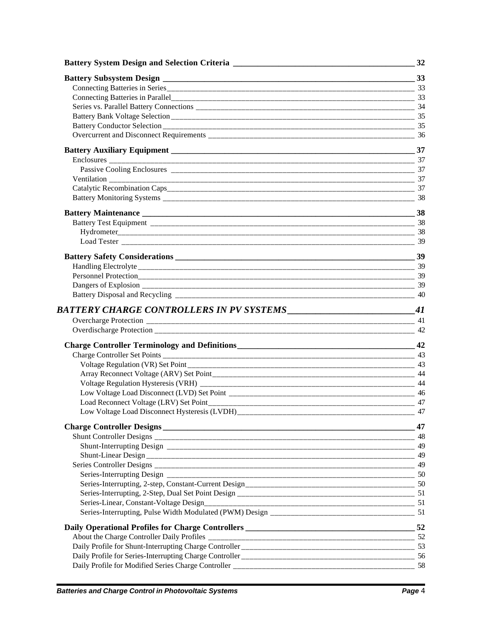| Battery System Design and Selection Criteria ___________________________________                              | 32 |
|---------------------------------------------------------------------------------------------------------------|----|
| Battery Subsystem Design 233                                                                                  |    |
|                                                                                                               |    |
|                                                                                                               |    |
|                                                                                                               |    |
|                                                                                                               |    |
|                                                                                                               |    |
|                                                                                                               |    |
| Battery Auxiliary Equipment 2008 2014 19:00 19:00 19:00 19:00 19:00 19:00 19:00 19:00 19:00 19:00 19:00 19:00 |    |
|                                                                                                               |    |
|                                                                                                               |    |
|                                                                                                               |    |
|                                                                                                               |    |
|                                                                                                               |    |
|                                                                                                               |    |
|                                                                                                               |    |
|                                                                                                               |    |
|                                                                                                               |    |
|                                                                                                               |    |
|                                                                                                               |    |
|                                                                                                               |    |
|                                                                                                               |    |
|                                                                                                               |    |
|                                                                                                               |    |
|                                                                                                               |    |
|                                                                                                               |    |
|                                                                                                               |    |
|                                                                                                               |    |
|                                                                                                               |    |
|                                                                                                               |    |
|                                                                                                               |    |
|                                                                                                               |    |
|                                                                                                               |    |
|                                                                                                               | 47 |
|                                                                                                               |    |
|                                                                                                               |    |
|                                                                                                               |    |
|                                                                                                               |    |
|                                                                                                               |    |
|                                                                                                               |    |
|                                                                                                               |    |
|                                                                                                               |    |
|                                                                                                               |    |
|                                                                                                               |    |
|                                                                                                               |    |
|                                                                                                               |    |
|                                                                                                               |    |
|                                                                                                               |    |
|                                                                                                               |    |
|                                                                                                               |    |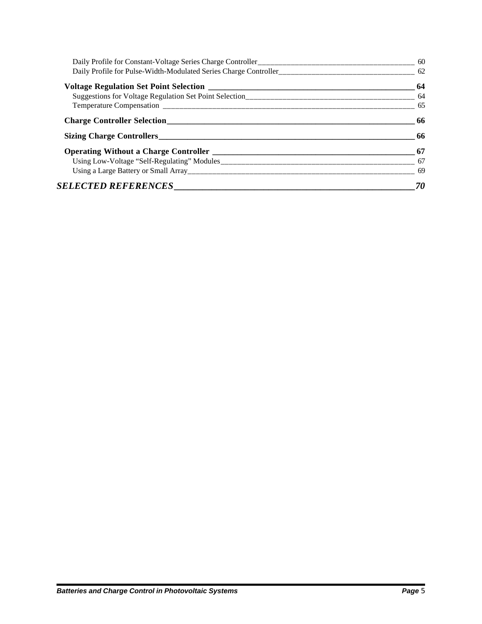| $\sim$ 66 |
|-----------|
|           |
|           |
|           |
|           |
| 70        |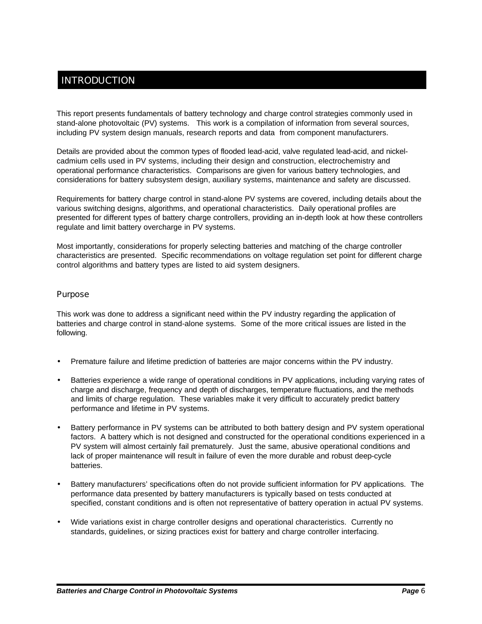### **INTRODUCTION**

This report presents fundamentals of battery technology and charge control strategies commonly used in stand-alone photovoltaic (PV) systems. This work is a compilation of information from several sources, including PV system design manuals, research reports and data from component manufacturers.

Details are provided about the common types of flooded lead-acid, valve regulated lead-acid, and nickelcadmium cells used in PV systems, including their design and construction, electrochemistry and operational performance characteristics. Comparisons are given for various battery technologies, and considerations for battery subsystem design, auxiliary systems, maintenance and safety are discussed.

Requirements for battery charge control in stand-alone PV systems are covered, including details about the various switching designs, algorithms, and operational characteristics. Daily operational profiles are presented for different types of battery charge controllers, providing an in-depth look at how these controllers regulate and limit battery overcharge in PV systems.

Most importantly, considerations for properly selecting batteries and matching of the charge controller characteristics are presented. Specific recommendations on voltage regulation set point for different charge control algorithms and battery types are listed to aid system designers.

### Purpose

This work was done to address a significant need within the PV industry regarding the application of batteries and charge control in stand-alone systems. Some of the more critical issues are listed in the following.

- Premature failure and lifetime prediction of batteries are major concerns within the PV industry.
- Batteries experience a wide range of operational conditions in PV applications, including varying rates of charge and discharge, frequency and depth of discharges, temperature fluctuations, and the methods and limits of charge regulation. These variables make it very difficult to accurately predict battery performance and lifetime in PV systems.
- Battery performance in PV systems can be attributed to both battery design and PV system operational factors. A battery which is not designed and constructed for the operational conditions experienced in a PV system will almost certainly fail prematurely. Just the same, abusive operational conditions and lack of proper maintenance will result in failure of even the more durable and robust deep-cycle batteries.
- Battery manufacturers' specifications often do not provide sufficient information for PV applications. The performance data presented by battery manufacturers is typically based on tests conducted at specified, constant conditions and is often not representative of battery operation in actual PV systems.
- Wide variations exist in charge controller designs and operational characteristics. Currently no standards, guidelines, or sizing practices exist for battery and charge controller interfacing.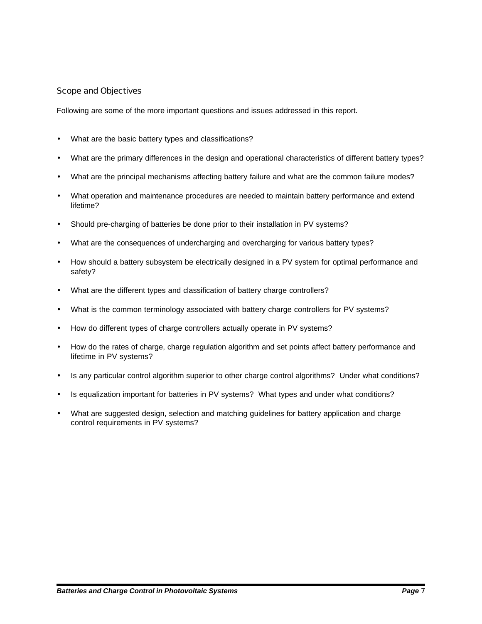### Scope and Objectives

Following are some of the more important questions and issues addressed in this report.

- What are the basic battery types and classifications?
- What are the primary differences in the design and operational characteristics of different battery types?
- What are the principal mechanisms affecting battery failure and what are the common failure modes?
- What operation and maintenance procedures are needed to maintain battery performance and extend lifetime?
- Should pre-charging of batteries be done prior to their installation in PV systems?
- What are the consequences of undercharging and overcharging for various battery types?
- How should a battery subsystem be electrically designed in a PV system for optimal performance and safety?
- What are the different types and classification of battery charge controllers?
- What is the common terminology associated with battery charge controllers for PV systems?
- How do different types of charge controllers actually operate in PV systems?
- How do the rates of charge, charge regulation algorithm and set points affect battery performance and lifetime in PV systems?
- Is any particular control algorithm superior to other charge control algorithms? Under what conditions?
- Is equalization important for batteries in PV systems? What types and under what conditions?
- What are suggested design, selection and matching guidelines for battery application and charge control requirements in PV systems?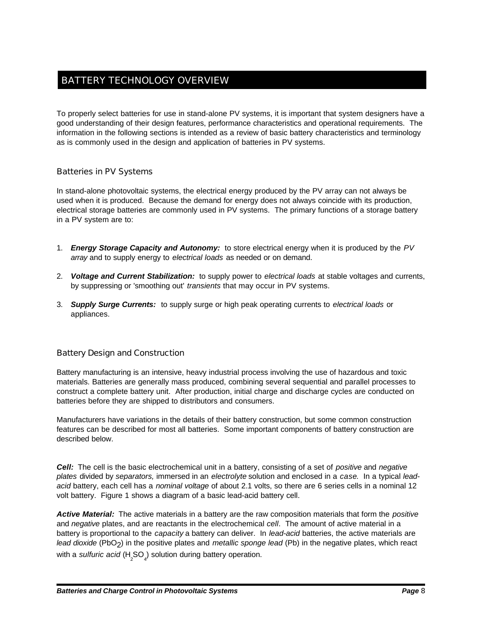### BATTERY TECHNOLOGY OVERVIEW

To properly select batteries for use in stand-alone PV systems, it is important that system designers have a good understanding of their design features, performance characteristics and operational requirements. The information in the following sections is intended as a review of basic battery characteristics and terminology as is commonly used in the design and application of batteries in PV systems.

### Batteries in PV Systems

In stand-alone photovoltaic systems, the electrical energy produced by the PV array can not always be used when it is produced. Because the demand for energy does not always coincide with its production, electrical storage batteries are commonly used in PV systems. The primary functions of a storage battery in a PV system are to:

- 1. *Energy Storage Capacity and Autonomy:* to store electrical energy when it is produced by the *PV array* and to supply energy to *electrical loads* as needed or on demand.
- 2. *Voltage and Current Stabilization:* to supply power to *electrical loads* at stable voltages and currents, by suppressing or 'smoothing out' *transients* that may occur in PV systems.
- 3. *Supply Surge Currents:* to supply surge or high peak operating currents to *electrical loads* or appliances.

### Battery Design and Construction

Battery manufacturing is an intensive, heavy industrial process involving the use of hazardous and toxic materials. Batteries are generally mass produced, combining several sequential and parallel processes to construct a complete battery unit. After production, initial charge and discharge cycles are conducted on batteries before they are shipped to distributors and consumers.

Manufacturers have variations in the details of their battery construction, but some common construction features can be described for most all batteries. Some important components of battery construction are described below.

*Cell:* The cell is the basic electrochemical unit in a battery, consisting of a set of *positive* and *negative plates* divided by *separators,* immersed in an *electrolyte* solution and enclosed in a *case*. In a typical *leadacid* battery, each cell has a *nominal voltage* of about 2.1 volts, so there are 6 series cells in a nominal 12 volt battery. Figure 1 shows a diagram of a basic lead-acid battery cell.

*Active Material:* The active materials in a battery are the raw composition materials that form the *positive* and *negative* plates, and are reactants in the electrochemical *cell*. The amount of active material in a battery is proportional to the *capacity* a battery can deliver. In *lead-acid* batteries, the active materials are lead dioxide (PbO<sub>2</sub>) in the positive plates and *metallic sponge lead* (Pb) in the negative plates, which react with a *sulfuric acid* (H<sub>2</sub>SO<sub>4</sub>) solution during battery operation.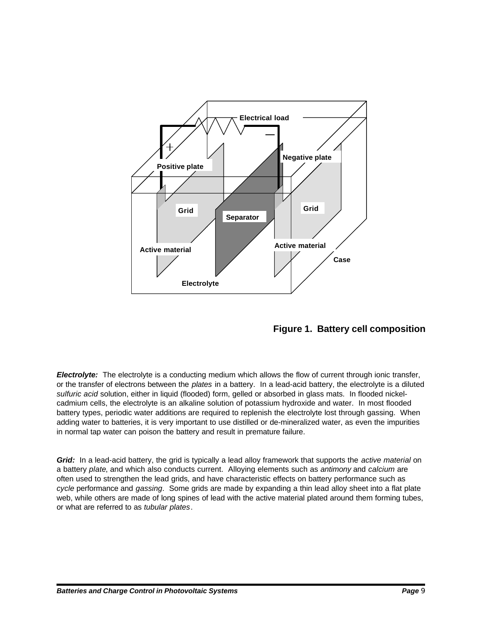

### **Figure 1. Battery cell composition**

*Electrolyte:* The electrolyte is a conducting medium which allows the flow of current through ionic transfer, or the transfer of electrons between the *plates* in a battery. In a lead-acid battery, the electrolyte is a diluted *sulfuric acid* solution, either in liquid (flooded) form, gelled or absorbed in glass mats. In flooded nickelcadmium cells, the electrolyte is an alkaline solution of potassium hydroxide and water. In most flooded battery types, periodic water additions are required to replenish the electrolyte lost through gassing. When adding water to batteries, it is very important to use distilled or de-mineralized water, as even the impurities in normal tap water can poison the battery and result in premature failure.

*Grid:* In a lead-acid battery, the grid is typically a lead alloy framework that supports the *active material* on a battery *plate*, and which also conducts current. Alloying elements such as *antimony* and *calcium* are often used to strengthen the lead grids, and have characteristic effects on battery performance such as *cycle* performance and *gassing*. Some grids are made by expanding a thin lead alloy sheet into a flat plate web, while others are made of long spines of lead with the active material plated around them forming tubes, or what are referred to as *tubular plates*.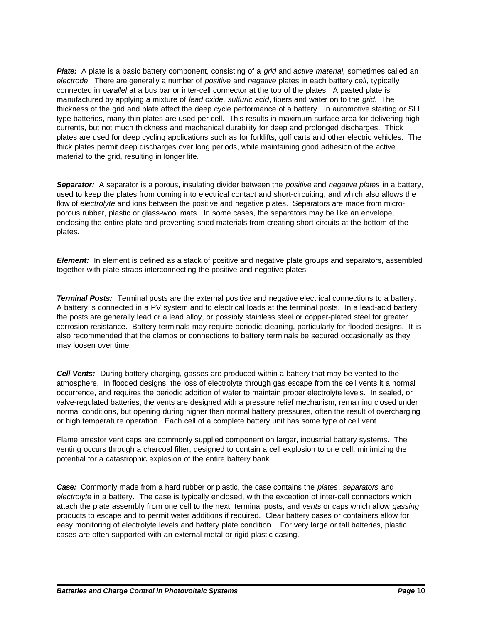*Plate:* A plate is a basic battery component, consisting of a *grid* and *active material,* sometimes called an *electrode*. There are generally a number of *positive* and *negative* plates in each battery *cell*, typically connected in *parallel* at a bus bar or inter-cell connector at the top of the plates. A pasted plate is manufactured by applying a mixture of *lead oxide*, *sulfuric acid*, fibers and water on to the *grid*. The thickness of the grid and plate affect the deep cycle performance of a battery. In automotive starting or SLI type batteries, many thin plates are used per cell. This results in maximum surface area for delivering high currents, but not much thickness and mechanical durability for deep and prolonged discharges. Thick plates are used for deep cycling applications such as for forklifts, golf carts and other electric vehicles. The thick plates permit deep discharges over long periods, while maintaining good adhesion of the active material to the grid, resulting in longer life.

*Separator:* A separator is a porous, insulating divider between the *positive* and *negative plates* in a battery, used to keep the plates from coming into electrical contact and short-circuiting, and which also allows the flow of *electrolyte* and ions between the positive and negative plates. Separators are made from microporous rubber, plastic or glass-wool mats. In some cases, the separators may be like an envelope, enclosing the entire plate and preventing shed materials from creating short circuits at the bottom of the plates.

*Element:* In element is defined as a stack of positive and negative plate groups and separators, assembled together with plate straps interconnecting the positive and negative plates.

*Terminal Posts:* Terminal posts are the external positive and negative electrical connections to a battery. A battery is connected in a PV system and to electrical loads at the terminal posts. In a lead-acid battery the posts are generally lead or a lead alloy, or possibly stainless steel or copper-plated steel for greater corrosion resistance. Battery terminals may require periodic cleaning, particularly for flooded designs. It is also recommended that the clamps or connections to battery terminals be secured occasionally as they may loosen over time.

*Cell Vents:* During battery charging, gasses are produced within a battery that may be vented to the atmosphere. In flooded designs, the loss of electrolyte through gas escape from the cell vents it a normal occurrence, and requires the periodic addition of water to maintain proper electrolyte levels. In sealed, or valve-regulated batteries, the vents are designed with a pressure relief mechanism, remaining closed under normal conditions, but opening during higher than normal battery pressures, often the result of overcharging or high temperature operation. Each cell of a complete battery unit has some type of cell vent.

Flame arrestor vent caps are commonly supplied component on larger, industrial battery systems. The venting occurs through a charcoal filter, designed to contain a cell explosion to one cell, minimizing the potential for a catastrophic explosion of the entire battery bank.

*Case:* Commonly made from a hard rubber or plastic, the case contains the *plates*, *separators* and *electrolyte* in a battery. The case is typically enclosed, with the exception of inter-cell connectors which attach the plate assembly from one cell to the next, terminal posts, and *vents* or caps which allow *gassing* products to escape and to permit water additions if required. Clear battery cases or containers allow for easy monitoring of electrolyte levels and battery plate condition. For very large or tall batteries, plastic cases are often supported with an external metal or rigid plastic casing.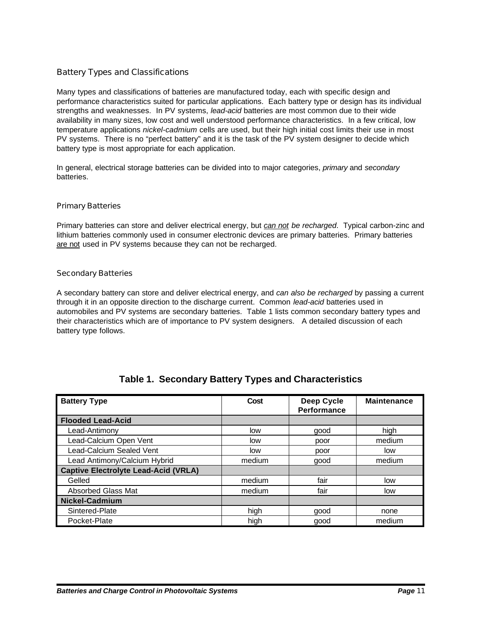### Battery Types and Classifications

Many types and classifications of batteries are manufactured today, each with specific design and performance characteristics suited for particular applications. Each battery type or design has its individual strengths and weaknesses. In PV systems, *lead-acid* batteries are most common due to their wide availability in many sizes, low cost and well understood performance characteristics. In a few critical, low temperature applications *nickel-cadmium* cells are used, but their high initial cost limits their use in most PV systems. There is no "perfect battery" and it is the task of the PV system designer to decide which battery type is most appropriate for each application.

In general, electrical storage batteries can be divided into to major categories, *primary* and *secondary* batteries.

### Primary Batteries

Primary batteries can store and deliver electrical energy, but *can not be recharged*. Typical carbon-zinc and lithium batteries commonly used in consumer electronic devices are primary batteries. Primary batteries are not used in PV systems because they can not be recharged.

### Secondary Batteries

A secondary battery can store and deliver electrical energy, and *can also be recharged* by passing a current through it in an opposite direction to the discharge current. Common *lead-acid* batteries used in automobiles and PV systems are secondary batteries. Table 1 lists common secondary battery types and their characteristics which are of importance to PV system designers. A detailed discussion of each battery type follows.

| <b>Battery Type</b>                         | Cost   | Deep Cycle<br>Performance | <b>Maintenance</b> |
|---------------------------------------------|--------|---------------------------|--------------------|
| <b>Flooded Lead-Acid</b>                    |        |                           |                    |
| Lead-Antimony                               | low    | good                      | high               |
| Lead-Calcium Open Vent                      | low    | poor                      | medium             |
| Lead-Calcium Sealed Vent                    | low    | poor                      | low                |
| Lead Antimony/Calcium Hybrid                | medium | good                      | medium             |
| <b>Captive Electrolyte Lead-Acid (VRLA)</b> |        |                           |                    |
| Gelled                                      | medium | fair                      | low                |
| <b>Absorbed Glass Mat</b>                   | medium | fair                      | low                |
| <b>Nickel-Cadmium</b>                       |        |                           |                    |
| Sintered-Plate                              | high   | good                      | none               |
| Pocket-Plate                                | high   | qood                      | medium             |

### **Table 1. Secondary Battery Types and Characteristics**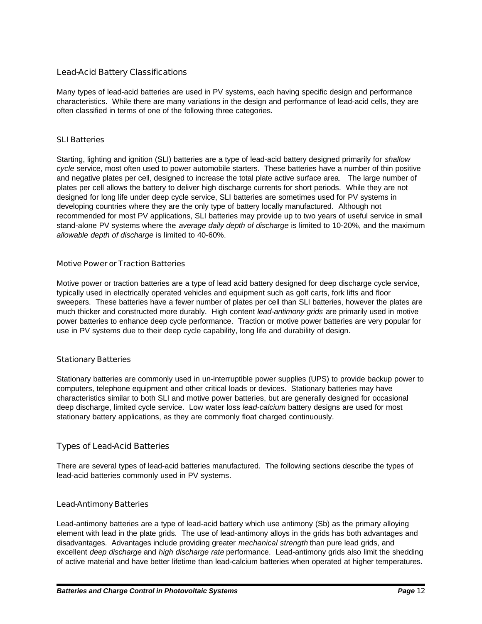### Lead-Acid Battery Classifications

Many types of lead-acid batteries are used in PV systems, each having specific design and performance characteristics. While there are many variations in the design and performance of lead-acid cells, they are often classified in terms of one of the following three categories.

### SLI Batteries

Starting, lighting and ignition (SLI) batteries are a type of lead-acid battery designed primarily for *shallow cycle* service, most often used to power automobile starters. These batteries have a number of thin positive and negative plates per cell, designed to increase the total plate active surface area. The large number of plates per cell allows the battery to deliver high discharge currents for short periods. While they are not designed for long life under deep cycle service, SLI batteries are sometimes used for PV systems in developing countries where they are the only type of battery locally manufactured. Although not recommended for most PV applications, SLI batteries may provide up to two years of useful service in small stand-alone PV systems where the *average daily depth of discharge* is limited to 10-20%, and the maximum *allowable depth of discharge* is limited to 40-60%.

### Motive Power or Traction Batteries

Motive power or traction batteries are a type of lead acid battery designed for deep discharge cycle service, typically used in electrically operated vehicles and equipment such as golf carts, fork lifts and floor sweepers. These batteries have a fewer number of plates per cell than SLI batteries, however the plates are much thicker and constructed more durably. High content *lead-antimony grids* are primarily used in motive power batteries to enhance deep cycle performance. Traction or motive power batteries are very popular for use in PV systems due to their deep cycle capability, long life and durability of design.

### Stationary Batteries

Stationary batteries are commonly used in un-interruptible power supplies (UPS) to provide backup power to computers, telephone equipment and other critical loads or devices. Stationary batteries may have characteristics similar to both SLI and motive power batteries, but are generally designed for occasional deep discharge, limited cycle service. Low water loss *lead-calcium* battery designs are used for most stationary battery applications, as they are commonly float charged continuously.

### Types of Lead-Acid Batteries

There are several types of lead-acid batteries manufactured. The following sections describe the types of lead-acid batteries commonly used in PV systems.

### Lead-Antimony Batteries

Lead-antimony batteries are a type of lead-acid battery which use antimony (Sb) as the primary alloying element with lead in the plate grids. The use of lead-antimony alloys in the grids has both advantages and disadvantages. Advantages include providing greater *mechanical strength* than pure lead grids, and excellent *deep discharge* and *high discharge rate* performance. Lead-antimony grids also limit the shedding of active material and have better lifetime than lead-calcium batteries when operated at higher temperatures.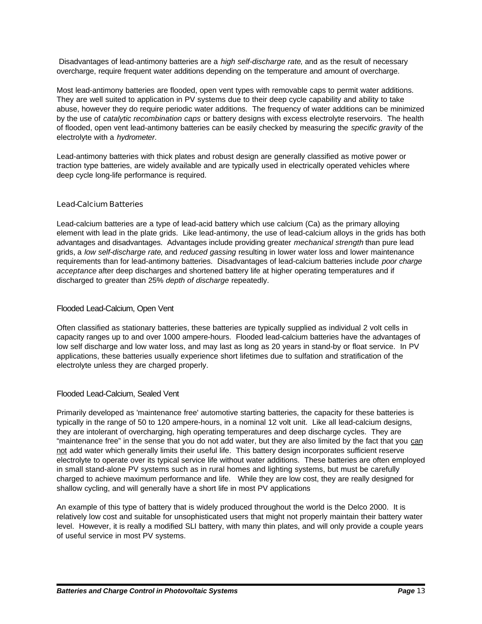Disadvantages of lead-antimony batteries are a *high self-discharge rate*, and as the result of necessary overcharge, require frequent water additions depending on the temperature and amount of overcharge.

Most lead-antimony batteries are flooded, open vent types with removable caps to permit water additions. They are well suited to application in PV systems due to their deep cycle capability and ability to take abuse, however they do require periodic water additions. The frequency of water additions can be minimized by the use of *catalytic recombination caps* or battery designs with excess electrolyte reservoirs. The health of flooded, open vent lead-antimony batteries can be easily checked by measuring the *specific gravity* of the electrolyte with a *hydrometer*.

Lead-antimony batteries with thick plates and robust design are generally classified as motive power or traction type batteries, are widely available and are typically used in electrically operated vehicles where deep cycle long-life performance is required.

### Lead-Calcium Batteries

Lead-calcium batteries are a type of lead-acid battery which use calcium (Ca) as the primary alloying element with lead in the plate grids. Like lead-antimony, the use of lead-calcium alloys in the grids has both advantages and disadvantages. Advantages include providing greater *mechanical strength* than pure lead grids, a *low self-discharge rate*, and *reduced gassing* resulting in lower water loss and lower maintenance requirements than for lead-antimony batteries. Disadvantages of lead-calcium batteries include *poor charge acceptance* after deep discharges and shortened battery life at higher operating temperatures and if discharged to greater than 25% *depth of discharge* repeatedly.

### Flooded Lead-Calcium, Open Vent

Often classified as stationary batteries, these batteries are typically supplied as individual 2 volt cells in capacity ranges up to and over 1000 ampere-hours. Flooded lead-calcium batteries have the advantages of low self discharge and low water loss, and may last as long as 20 years in stand-by or float service. In PV applications, these batteries usually experience short lifetimes due to sulfation and stratification of the electrolyte unless they are charged properly.

### Flooded Lead-Calcium, Sealed Vent

Primarily developed as 'maintenance free' automotive starting batteries, the capacity for these batteries is typically in the range of 50 to 120 ampere-hours, in a nominal 12 volt unit. Like all lead-calcium designs, they are intolerant of overcharging, high operating temperatures and deep discharge cycles. They are "maintenance free" in the sense that you do not add water, but they are also limited by the fact that you can not add water which generally limits their useful life. This battery design incorporates sufficient reserve electrolyte to operate over its typical service life without water additions. These batteries are often employed in small stand-alone PV systems such as in rural homes and lighting systems, but must be carefully charged to achieve maximum performance and life. While they are low cost, they are really designed for shallow cycling, and will generally have a short life in most PV applications

An example of this type of battery that is widely produced throughout the world is the Delco 2000. It is relatively low cost and suitable for unsophisticated users that might not properly maintain their battery water level. However, it is really a modified SLI battery, with many thin plates, and will only provide a couple years of useful service in most PV systems.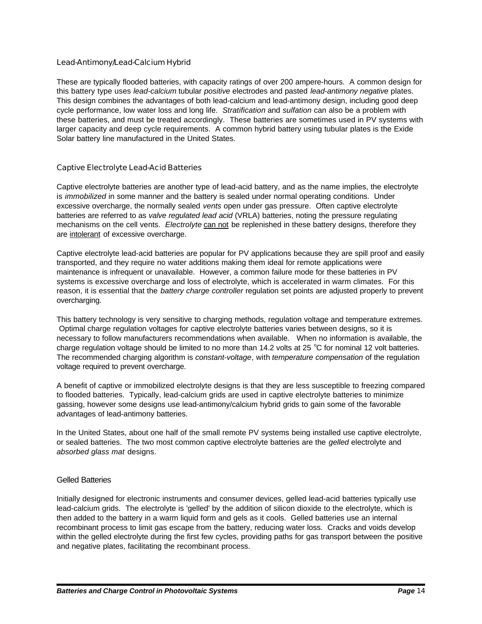### Lead-Antimony/Lead-Calcium Hybrid

These are typically flooded batteries, with capacity ratings of over 200 ampere-hours. A common design for this battery type uses *lead-calcium* tubular *positive* electrodes and pasted *lead-antimony negative* plates. This design combines the advantages of both lead-calcium and lead-antimony design, including good deep cycle performance, low water loss and long life. *Stratification* and *sulfation* can also be a problem with these batteries, and must be treated accordingly. These batteries are sometimes used in PV systems with larger capacity and deep cycle requirements. A common hybrid battery using tubular plates is the Exide Solar battery line manufactured in the United States.

### Captive Electrolyte Lead-Acid Batteries

Captive electrolyte batteries are another type of lead-acid battery, and as the name implies, the electrolyte is *immobilized* in some manner and the battery is sealed under normal operating conditions. Under excessive overcharge, the normally sealed *vents* open under gas pressure. Often captive electrolyte batteries are referred to as *valve regulated lead acid* (VRLA) batteries, noting the pressure regulating mechanisms on the cell vents. *Electrolyte* can not be replenished in these battery designs, therefore they are intolerant of excessive overcharge.

Captive electrolyte lead-acid batteries are popular for PV applications because they are spill proof and easily transported, and they require no water additions making them ideal for remote applications were maintenance is infrequent or unavailable. However, a common failure mode for these batteries in PV systems is excessive overcharge and loss of electrolyte, which is accelerated in warm climates. For this reason, it is essential that the *battery charge controller* regulation set points are adjusted properly to prevent overcharging.

This battery technology is very sensitive to charging methods, regulation voltage and temperature extremes. Optimal charge regulation voltages for captive electrolyte batteries varies between designs, so it is necessary to follow manufacturers recommendations when available. When no information is available, the charge regulation voltage should be limited to no more than  $14.2$  volts at  $25$  °C for nominal 12 volt batteries. The recommended charging algorithm is *constant-voltage*, with *temperature compensation* of the regulation voltage required to prevent overcharge.

A benefit of captive or immobilized electrolyte designs is that they are less susceptible to freezing compared to flooded batteries. Typically, lead-calcium grids are used in captive electrolyte batteries to minimize gassing, however some designs use lead-antimony/calcium hybrid grids to gain some of the favorable advantages of lead-antimony batteries.

In the United States, about one half of the small remote PV systems being installed use captive electrolyte, or sealed batteries. The two most common captive electrolyte batteries are the *gelled* electrolyte and *absorbed glass mat* designs.

### Gelled Batteries

Initially designed for electronic instruments and consumer devices, gelled lead-acid batteries typically use lead-calcium grids. The electrolyte is 'gelled' by the addition of silicon dioxide to the electrolyte, which is then added to the battery in a warm liquid form and gels as it cools. Gelled batteries use an internal recombinant process to limit gas escape from the battery, reducing water loss. Cracks and voids develop within the gelled electrolyte during the first few cycles, providing paths for gas transport between the positive and negative plates, facilitating the recombinant process.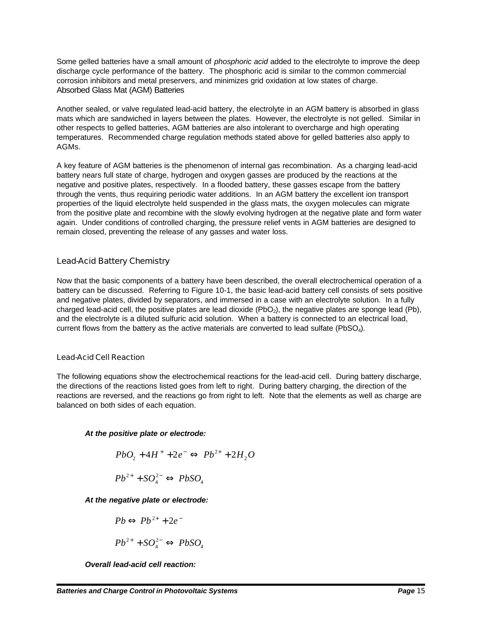Some gelled batteries have a small amount of *phosphoric acid* added to the electrolyte to improve the deep discharge cycle performance of the battery. The phosphoric acid is similar to the common commercial corrosion inhibitors and metal preservers, and minimizes grid oxidation at low states of charge. Absorbed Glass Mat (AGM) Batteries

Another sealed, or valve regulated lead-acid battery, the electrolyte in an AGM battery is absorbed in glass mats which are sandwiched in layers between the plates. However, the electrolyte is not gelled. Similar in other respects to gelled batteries, AGM batteries are also intolerant to overcharge and high operating temperatures. Recommended charge regulation methods stated above for gelled batteries also apply to AGMs.

A key feature of AGM batteries is the phenomenon of internal gas recombination. As a charging lead-acid battery nears full state of charge, hydrogen and oxygen gasses are produced by the reactions at the negative and positive plates, respectively. In a flooded battery, these gasses escape from the battery through the vents, thus requiring periodic water additions. In an AGM battery the excellent ion transport properties of the liquid electrolyte held suspended in the glass mats, the oxygen molecules can migrate from the positive plate and recombine with the slowly evolving hydrogen at the negative plate and form water again. Under conditions of controlled charging, the pressure relief vents in AGM batteries are designed to remain closed, preventing the release of any gasses and water loss.

### Lead-Acid Battery Chemistry

Now that the basic components of a battery have been described, the overall electrochemical operation of a battery can be discussed. Referring to Figure 10-1, the basic lead-acid battery cell consists of sets positive and negative plates, divided by separators, and immersed in a case with an electrolyte solution. In a fully charged lead-acid cell, the positive plates are lead dioxide  $(PbO<sub>2</sub>)$ , the negative plates are sponge lead (Pb), and the electrolyte is a diluted sulfuric acid solution. When a battery is connected to an electrical load, current flows from the battery as the active materials are converted to lead sulfate (PbSO<sub>4</sub>).

### Lead-Acid Cell Reaction

The following equations show the electrochemical reactions for the lead-acid cell. During battery discharge, the directions of the reactions listed goes from left to right. During battery charging, the direction of the reactions are reversed, and the reactions go from right to left. Note that the elements as well as charge are balanced on both sides of each equation.

### *At the positive plate or electrode:*

$$
PbO_2 + 4H^+ + 2e^- \Leftrightarrow Pb^{2+} + 2H_2O
$$

$$
Pb^{2+} + SO_4^{2-} \Leftrightarrow PbSO_4
$$

*At the negative plate or electrode:*

$$
Pb \Leftrightarrow Pb^{2+} + 2e^-
$$
  

$$
Pb^{2+} + SO_4^{2-} \Leftrightarrow PbSO_4
$$

*Overall lead-acid cell reaction:*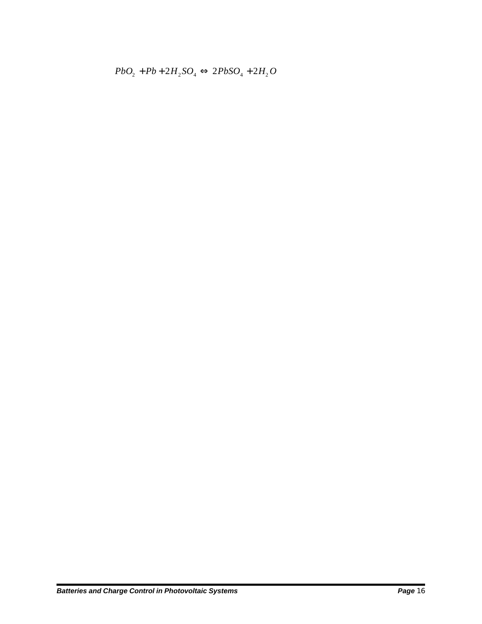$PbO_2 + Pb + 2H_2SO_4 \Leftrightarrow 2PbSO_4 + 2H_2O$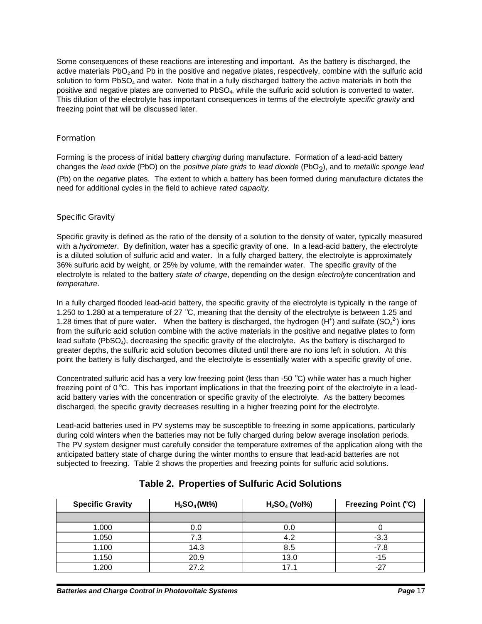Some consequences of these reactions are interesting and important. As the battery is discharged, the active materials PbO<sub>2</sub> and Pb in the positive and negative plates, respectively, combine with the sulfuric acid solution to form  $PbSO<sub>4</sub>$  and water. Note that in a fully discharged battery the active materials in both the positive and negative plates are converted to PbSO<sub>4</sub>, while the sulfuric acid solution is converted to water. This dilution of the electrolyte has important consequences in terms of the electrolyte *specific gravity* and freezing point that will be discussed later.

### Formation

Forming is the process of initial battery *charging* during manufacture. Formation of a lead-acid battery changes the *lead oxide* (PbO) on the *positive plate grids* to *lead dioxide* (PbO2 ), and to *metallic sponge lead* (Pb) on the *negative* plates. The extent to which a battery has been formed during manufacture dictates the need for additional cycles in the field to achieve *rated capacity*.

### Specific Gravity

Specific gravity is defined as the ratio of the density of a solution to the density of water, typically measured with a *hydrometer*. By definition, water has a specific gravity of one. In a lead-acid battery, the electrolyte is a diluted solution of sulfuric acid and water. In a fully charged battery, the electrolyte is approximately 36% sulfuric acid by weight, or 25% by volume, with the remainder water. The specific gravity of the electrolyte is related to the battery *state of charge*, depending on the design *electrolyte* concentration and *temperature*.

In a fully charged flooded lead-acid battery, the specific gravity of the electrolyte is typically in the range of 1.250 to 1.280 at a temperature of 27  $^{\circ}$ C, meaning that the density of the electrolyte is between 1.25 and 1.28 times that of pure water. When the battery is discharged, the hydrogen (H<sup>+</sup>) and sulfate (SO<sub>4</sub><sup>2</sup>) ions from the sulfuric acid solution combine with the active materials in the positive and negative plates to form lead sulfate (PbSO<sub>4</sub>), decreasing the specific gravity of the electrolyte. As the battery is discharged to greater depths, the sulfuric acid solution becomes diluted until there are no ions left in solution. At this point the battery is fully discharged, and the electrolyte is essentially water with a specific gravity of one.

Concentrated sulfuric acid has a very low freezing point (less than -50  $^{\circ}$ C) while water has a much higher freezing point of  $0^{\circ}$ C. This has important implications in that the freezing point of the electrolyte in a leadacid battery varies with the concentration or specific gravity of the electrolyte. As the battery becomes discharged, the specific gravity decreases resulting in a higher freezing point for the electrolyte.

Lead-acid batteries used in PV systems may be susceptible to freezing in some applications, particularly during cold winters when the batteries may not be fully charged during below average insolation periods. The PV system designer must carefully consider the temperature extremes of the application along with the anticipated battery state of charge during the winter months to ensure that lead-acid batteries are not subjected to freezing. Table 2 shows the properties and freezing points for sulfuric acid solutions.

| <b>Specific Gravity</b> | $H_2SO_4(Wt\%)$ |      | <b>Freezing Point (°C)</b> |
|-------------------------|-----------------|------|----------------------------|
|                         |                 |      |                            |
| 1.000                   | 0.0             | 0.C  |                            |
| 1.050                   | 7.3             | 4.2  | $-3.3$                     |
| 1.100                   | 14.3            | 8.5  | $-7.8$                     |
| 1.150                   | 20.9            | 13.0 | $-15$                      |
| 1.200                   | 27.2            |      | $-27$                      |

### **Table 2. Properties of Sulfuric Acid Solutions**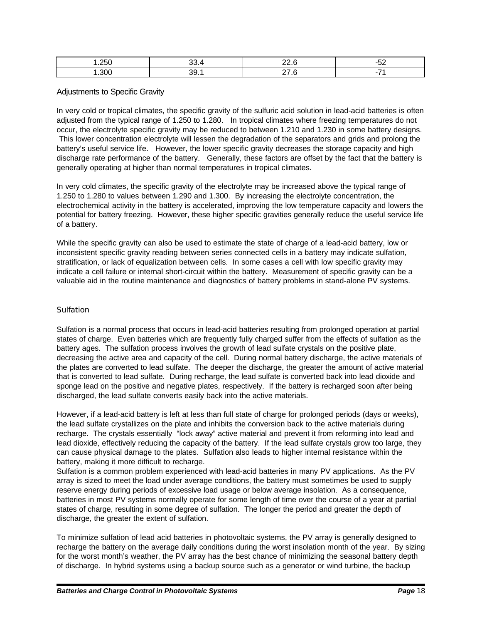| 250 | ົ<br>ാാ. | - -<br>n r<br><u>__</u> . | $ -$<br>ັ                |
|-----|----------|---------------------------|--------------------------|
| 300 | 39.      | . .                       | $\overline{\phantom{0}}$ |

### Adjustments to Specific Gravity

In very cold or tropical climates, the specific gravity of the sulfuric acid solution in lead-acid batteries is often adjusted from the typical range of 1.250 to 1.280. In tropical climates where freezing temperatures do not occur, the electrolyte specific gravity may be reduced to between 1.210 and 1.230 in some battery designs. This lower concentration electrolyte will lessen the degradation of the separators and grids and prolong the battery's useful service life. However, the lower specific gravity decreases the storage capacity and high discharge rate performance of the battery. Generally, these factors are offset by the fact that the battery is generally operating at higher than normal temperatures in tropical climates.

In very cold climates, the specific gravity of the electrolyte may be increased above the typical range of 1.250 to 1.280 to values between 1.290 and 1.300. By increasing the electrolyte concentration, the electrochemical activity in the battery is accelerated, improving the low temperature capacity and lowers the potential for battery freezing. However, these higher specific gravities generally reduce the useful service life of a battery.

While the specific gravity can also be used to estimate the state of charge of a lead-acid battery, low or inconsistent specific gravity reading between series connected cells in a battery may indicate sulfation, stratification, or lack of equalization between cells. In some cases a cell with low specific gravity may indicate a cell failure or internal short-circuit within the battery. Measurement of specific gravity can be a valuable aid in the routine maintenance and diagnostics of battery problems in stand-alone PV systems.

### Sulfation

Sulfation is a normal process that occurs in lead-acid batteries resulting from prolonged operation at partial states of charge. Even batteries which are frequently fully charged suffer from the effects of sulfation as the battery ages. The sulfation process involves the growth of lead sulfate crystals on the positive plate, decreasing the active area and capacity of the cell. During normal battery discharge, the active materials of the plates are converted to lead sulfate. The deeper the discharge, the greater the amount of active material that is converted to lead sulfate. During recharge, the lead sulfate is converted back into lead dioxide and sponge lead on the positive and negative plates, respectively. If the battery is recharged soon after being discharged, the lead sulfate converts easily back into the active materials.

However, if a lead-acid battery is left at less than full state of charge for prolonged periods (days or weeks), the lead sulfate crystallizes on the plate and inhibits the conversion back to the active materials during recharge. The crystals essentially "lock away" active material and prevent it from reforming into lead and lead dioxide, effectively reducing the capacity of the battery. If the lead sulfate crystals grow too large, they can cause physical damage to the plates. Sulfation also leads to higher internal resistance within the battery, making it more difficult to recharge.

Sulfation is a common problem experienced with lead-acid batteries in many PV applications. As the PV array is sized to meet the load under average conditions, the battery must sometimes be used to supply reserve energy during periods of excessive load usage or below average insolation. As a consequence, batteries in most PV systems normally operate for some length of time over the course of a year at partial states of charge, resulting in some degree of sulfation. The longer the period and greater the depth of discharge, the greater the extent of sulfation.

To minimize sulfation of lead acid batteries in photovoltaic systems, the PV array is generally designed to recharge the battery on the average daily conditions during the worst insolation month of the year. By sizing for the worst month's weather, the PV array has the best chance of minimizing the seasonal battery depth of discharge. In hybrid systems using a backup source such as a generator or wind turbine, the backup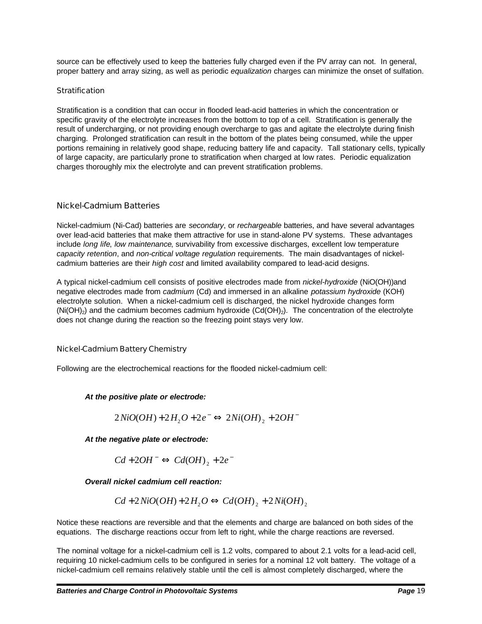source can be effectively used to keep the batteries fully charged even if the PV array can not. In general, proper battery and array sizing, as well as periodic *equalization* charges can minimize the onset of sulfation.

### **Stratification**

Stratification is a condition that can occur in flooded lead-acid batteries in which the concentration or specific gravity of the electrolyte increases from the bottom to top of a cell. Stratification is generally the result of undercharging, or not providing enough overcharge to gas and agitate the electrolyte during finish charging. Prolonged stratification can result in the bottom of the plates being consumed, while the upper portions remaining in relatively good shape, reducing battery life and capacity. Tall stationary cells, typically of large capacity, are particularly prone to stratification when charged at low rates. Periodic equalization charges thoroughly mix the electrolyte and can prevent stratification problems.

### Nickel-Cadmium Batteries

Nickel-cadmium (Ni-Cad) batteries are *secondary*, or *rechargeable* batteries, and have several advantages over lead-acid batteries that make them attractive for use in stand-alone PV systems. These advantages include *long life*, *low maintenance*, survivability from excessive discharges, excellent low temperature *capacity retention*, and *non-critical voltage regulation* requirements. The main disadvantages of nickelcadmium batteries are their *high cost* and limited availability compared to lead-acid designs.

A typical nickel-cadmium cell consists of positive electrodes made from *nickel-hydroxide* (NiO(OH))and negative electrodes made from *cadmium* (Cd) and immersed in an alkaline *potassium hydroxide* (KOH) electrolyte solution. When a nickel-cadmium cell is discharged, the nickel hydroxide changes form  $(Ni(OH<sub>2</sub>))$  and the cadmium becomes cadmium hydroxide  $(Cd(OH<sub>2</sub>))$ . The concentration of the electrolyte does not change during the reaction so the freezing point stays very low.

### Nickel-Cadmium Battery Chemistry

Following are the electrochemical reactions for the flooded nickel-cadmium cell:

### *At the positive plate or electrode:*

 $2NiO(OH) + 2H<sub>2</sub>O + 2e^- \Leftrightarrow 2Ni(OH)<sub>2</sub> + 2OH^-$ 

*At the negative plate or electrode:*

 $Cd + 2OH^- \Leftrightarrow Cd(OH)_2 + 2e^-$ 

### *Overall nickel cadmium cell reaction:*

 $Cd + 2NiO(OH) + 2H<sub>2</sub>O \Leftrightarrow Cd(OH)<sub>2</sub> + 2Ni(OH)<sub>2</sub>$ 

Notice these reactions are reversible and that the elements and charge are balanced on both sides of the equations. The discharge reactions occur from left to right, while the charge reactions are reversed.

The nominal voltage for a nickel-cadmium cell is 1.2 volts, compared to about 2.1 volts for a lead-acid cell, requiring 10 nickel-cadmium cells to be configured in series for a nominal 12 volt battery. The voltage of a nickel-cadmium cell remains relatively stable until the cell is almost completely discharged, where the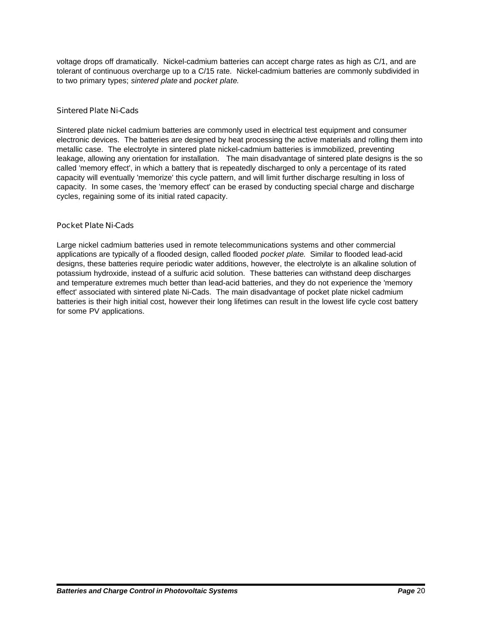voltage drops off dramatically. Nickel-cadmium batteries can accept charge rates as high as C/1, and are tolerant of continuous overcharge up to a C/15 rate. Nickel-cadmium batteries are commonly subdivided in to two primary types; *sintered plate* and *pocket plate*.

### Sintered Plate Ni-Cads

Sintered plate nickel cadmium batteries are commonly used in electrical test equipment and consumer electronic devices. The batteries are designed by heat processing the active materials and rolling them into metallic case. The electrolyte in sintered plate nickel-cadmium batteries is immobilized, preventing leakage, allowing any orientation for installation. The main disadvantage of sintered plate designs is the so called 'memory effect', in which a battery that is repeatedly discharged to only a percentage of its rated capacity will eventually 'memorize' this cycle pattern, and will limit further discharge resulting in loss of capacity. In some cases, the 'memory effect' can be erased by conducting special charge and discharge cycles, regaining some of its initial rated capacity.

### Pocket Plate Ni-Cads

Large nickel cadmium batteries used in remote telecommunications systems and other commercial applications are typically of a flooded design, called flooded *pocket plate*. Similar to flooded lead-acid designs, these batteries require periodic water additions, however, the electrolyte is an alkaline solution of potassium hydroxide, instead of a sulfuric acid solution. These batteries can withstand deep discharges and temperature extremes much better than lead-acid batteries, and they do not experience the 'memory effect' associated with sintered plate Ni-Cads. The main disadvantage of pocket plate nickel cadmium batteries is their high initial cost, however their long lifetimes can result in the lowest life cycle cost battery for some PV applications.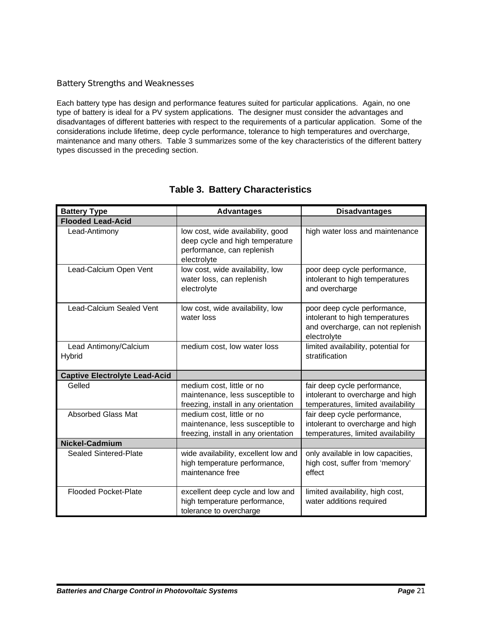### Battery Strengths and Weaknesses

Each battery type has design and performance features suited for particular applications. Again, no one type of battery is ideal for a PV system applications. The designer must consider the advantages and disadvantages of different batteries with respect to the requirements of a particular application. Some of the considerations include lifetime, deep cycle performance, tolerance to high temperatures and overcharge, maintenance and many others. Table 3 summarizes some of the key characteristics of the different battery types discussed in the preceding section.

| <b>Battery Type</b>                  | <b>Advantages</b>                                                                                                 | <b>Disadvantages</b>                                                                                                |
|--------------------------------------|-------------------------------------------------------------------------------------------------------------------|---------------------------------------------------------------------------------------------------------------------|
| <b>Flooded Lead-Acid</b>             |                                                                                                                   |                                                                                                                     |
| Lead-Antimony                        | low cost, wide availability, good<br>deep cycle and high temperature<br>performance, can replenish<br>electrolyte | high water loss and maintenance                                                                                     |
| Lead-Calcium Open Vent               | low cost, wide availability, low<br>water loss, can replenish<br>electrolyte                                      | poor deep cycle performance,<br>intolerant to high temperatures<br>and overcharge                                   |
| Lead-Calcium Sealed Vent             | low cost, wide availability, low<br>water loss                                                                    | poor deep cycle performance,<br>intolerant to high temperatures<br>and overcharge, can not replenish<br>electrolyte |
| Lead Antimony/Calcium<br>Hybrid      | medium cost, low water loss                                                                                       | limited availability, potential for<br>stratification                                                               |
| <b>Captive Electrolyte Lead-Acid</b> |                                                                                                                   |                                                                                                                     |
| Gelled                               | medium cost, little or no<br>maintenance, less susceptible to<br>freezing, install in any orientation             | fair deep cycle performance,<br>intolerant to overcharge and high<br>temperatures, limited availability             |
| <b>Absorbed Glass Mat</b>            | medium cost, little or no<br>maintenance, less susceptible to<br>freezing, install in any orientation             | fair deep cycle performance,<br>intolerant to overcharge and high<br>temperatures, limited availability             |
| <b>Nickel-Cadmium</b>                |                                                                                                                   |                                                                                                                     |
| <b>Sealed Sintered-Plate</b>         | wide availability, excellent low and<br>high temperature performance,<br>maintenance free                         | only available in low capacities,<br>high cost, suffer from 'memory'<br>effect                                      |
| <b>Flooded Pocket-Plate</b>          | excellent deep cycle and low and<br>high temperature performance,<br>tolerance to overcharge                      | limited availability, high cost,<br>water additions required                                                        |

### **Table 3. Battery Characteristics**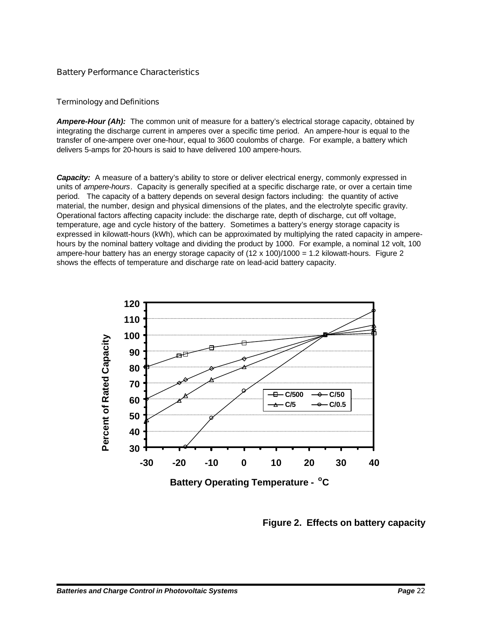### Battery Performance Characteristics

### Terminology and Definitions

Ampere-Hour (Ah): The common unit of measure for a battery's electrical storage capacity, obtained by integrating the discharge current in amperes over a specific time period. An ampere-hour is equal to the transfer of one-ampere over one-hour, equal to 3600 coulombs of charge. For example, a battery which delivers 5-amps for 20-hours is said to have delivered 100 ampere-hours.

*Capacity:* A measure of a battery's ability to store or deliver electrical energy, commonly expressed in units of *ampere-hours*. Capacity is generally specified at a specific discharge rate, or over a certain time period. The capacity of a battery depends on several design factors including: the quantity of active material, the number, design and physical dimensions of the plates, and the electrolyte specific gravity. Operational factors affecting capacity include: the discharge rate, depth of discharge, cut off voltage, temperature, age and cycle history of the battery. Sometimes a battery's energy storage capacity is expressed in kilowatt-hours (kWh), which can be approximated by multiplying the rated capacity in amperehours by the nominal battery voltage and dividing the product by 1000. For example, a nominal 12 volt, 100 ampere-hour battery has an energy storage capacity of (12 x 100)/1000 = 1.2 kilowatt-hours. Figure 2 shows the effects of temperature and discharge rate on lead-acid battery capacity.



**Figure 2. Effects on battery capacity**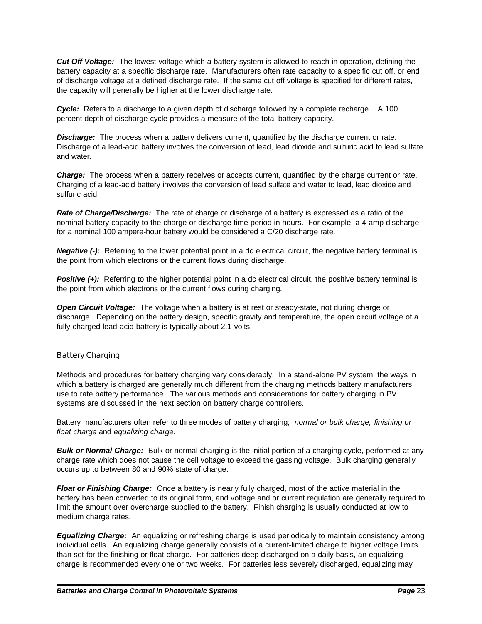*Cut Off Voltage:* The lowest voltage which a battery system is allowed to reach in operation, defining the battery capacity at a specific discharge rate. Manufacturers often rate capacity to a specific cut off, or end of discharge voltage at a defined discharge rate. If the same cut off voltage is specified for different rates, the capacity will generally be higher at the lower discharge rate.

*Cycle:* Refers to a discharge to a given depth of discharge followed by a complete recharge. A 100 percent depth of discharge cycle provides a measure of the total battery capacity.

**Discharge:** The process when a battery delivers current, quantified by the discharge current or rate. Discharge of a lead-acid battery involves the conversion of lead, lead dioxide and sulfuric acid to lead sulfate and water.

*Charge:* The process when a battery receives or accepts current, quantified by the charge current or rate. Charging of a lead-acid battery involves the conversion of lead sulfate and water to lead, lead dioxide and sulfuric acid.

*Rate of Charge/Discharge:* The rate of charge or discharge of a battery is expressed as a ratio of the nominal battery capacity to the charge or discharge time period in hours. For example, a 4-amp discharge for a nominal 100 ampere-hour battery would be considered a C/20 discharge rate.

*Negative (-):* Referring to the lower potential point in a dc electrical circuit, the negative battery terminal is the point from which electrons or the current flows during discharge.

*Positive (+):* Referring to the higher potential point in a dc electrical circuit, the positive battery terminal is the point from which electrons or the current flows during charging.

*Open Circuit Voltage:* The voltage when a battery is at rest or steady-state, not during charge or discharge. Depending on the battery design, specific gravity and temperature, the open circuit voltage of a fully charged lead-acid battery is typically about 2.1-volts.

### Battery Charging

Methods and procedures for battery charging vary considerably. In a stand-alone PV system, the ways in which a battery is charged are generally much different from the charging methods battery manufacturers use to rate battery performance. The various methods and considerations for battery charging in PV systems are discussed in the next section on battery charge controllers.

Battery manufacturers often refer to three modes of battery charging; *normal or bulk charge, finishing or float charge* and *equalizing charge*.

*Bulk or Normal Charge:* Bulk or normal charging is the initial portion of a charging cycle, performed at any charge rate which does not cause the cell voltage to exceed the gassing voltage. Bulk charging generally occurs up to between 80 and 90% state of charge.

*Float or Finishing Charge:* Once a battery is nearly fully charged, most of the active material in the battery has been converted to its original form, and voltage and or current regulation are generally required to limit the amount over overcharge supplied to the battery. Finish charging is usually conducted at low to medium charge rates.

*Equalizing Charge:* An equalizing or refreshing charge is used periodically to maintain consistency among individual cells. An equalizing charge generally consists of a current-limited charge to higher voltage limits than set for the finishing or float charge. For batteries deep discharged on a daily basis, an equalizing charge is recommended every one or two weeks. For batteries less severely discharged, equalizing may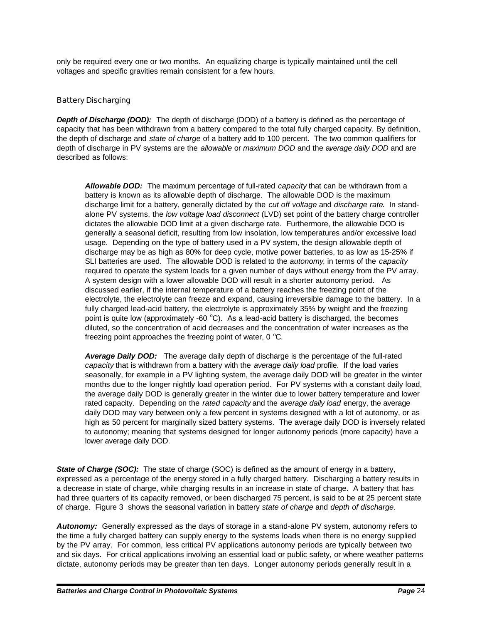only be required every one or two months. An equalizing charge is typically maintained until the cell voltages and specific gravities remain consistent for a few hours.

### Battery Discharging

**Depth of Discharge (DOD):** The depth of discharge (DOD) of a battery is defined as the percentage of capacity that has been withdrawn from a battery compared to the total fully charged capacity. By definition, the depth of discharge and *state of charge* of a battery add to 100 percent. The two common qualifiers for depth of discharge in PV systems are the *allowable* or *maximum DOD* and the a*verage daily DOD* and are described as follows:

*Allowable DOD:* The maximum percentage of full-rated *capacity* that can be withdrawn from a battery is known as its allowable depth of discharge. The allowable DOD is the maximum discharge limit for a battery, generally dictated by the *cut off voltage* and *discharge rate*. In standalone PV systems, the *low voltage load disconnect* (LVD) set point of the battery charge controller dictates the allowable DOD limit at a given discharge rate. Furthermore, the allowable DOD is generally a seasonal deficit, resulting from low insolation, low temperatures and/or excessive load usage. Depending on the type of battery used in a PV system, the design allowable depth of discharge may be as high as 80% for deep cycle, motive power batteries, to as low as 15-25% if SLI batteries are used. The allowable DOD is related to the *autonomy*, in terms of the *capacity* required to operate the system loads for a given number of days without energy from the PV array. A system design with a lower allowable DOD will result in a shorter autonomy period. As discussed earlier, if the internal temperature of a battery reaches the freezing point of the electrolyte, the electrolyte can freeze and expand, causing irreversible damage to the battery. In a fully charged lead-acid battery, the electrolyte is approximately 35% by weight and the freezing point is quite low (approximately -60  $^{\circ}$ C). As a lead-acid battery is discharged, the becomes diluted, so the concentration of acid decreases and the concentration of water increases as the freezing point approaches the freezing point of water,  $0^{\circ}$ C.

*Average Daily DOD:* The average daily depth of discharge is the percentage of the full-rated *capacity* that is withdrawn from a battery with the *average daily load* profile. If the load varies seasonally, for example in a PV lighting system, the average daily DOD will be greater in the winter months due to the longer nightly load operation period. For PV systems with a constant daily load, the average daily DOD is generally greater in the winter due to lower battery temperature and lower rated capacity. Depending on the *rated capacity* and the *average daily load* energy, the average daily DOD may vary between only a few percent in systems designed with a lot of autonomy, or as high as 50 percent for marginally sized battery systems. The average daily DOD is inversely related to autonomy; meaning that systems designed for longer autonomy periods (more capacity) have a lower average daily DOD.

**State of Charge (SOC):** The state of charge (SOC) is defined as the amount of energy in a battery, expressed as a percentage of the energy stored in a fully charged battery. Discharging a battery results in a decrease in state of charge, while charging results in an increase in state of charge. A battery that has had three quarters of its capacity removed, or been discharged 75 percent, is said to be at 25 percent state of charge. Figure 3 shows the seasonal variation in battery *state of charge* and *depth of discharge*.

*Autonomy:* Generally expressed as the days of storage in a stand-alone PV system, autonomy refers to the time a fully charged battery can supply energy to the systems loads when there is no energy supplied by the PV array. For common, less critical PV applications autonomy periods are typically between two and six days. For critical applications involving an essential load or public safety, or where weather patterns dictate, autonomy periods may be greater than ten days. Longer autonomy periods generally result in a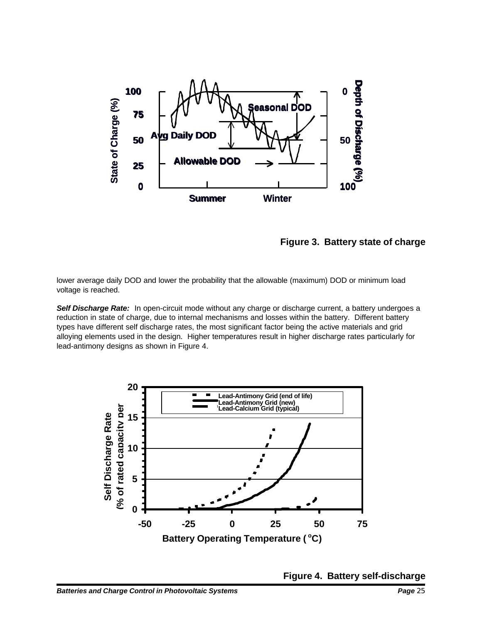

### **Figure 3. Battery state of charge**

lower average daily DOD and lower the probability that the allowable (maximum) DOD or minimum load voltage is reached.

**Self Discharge Rate:** In open-circuit mode without any charge or discharge current, a battery undergoes a reduction in state of charge, due to internal mechanisms and losses within the battery. Different battery types have different self discharge rates, the most significant factor being the active materials and grid alloying elements used in the design. Higher temperatures result in higher discharge rates particularly for lead-antimony designs as shown in Figure 4.



**Figure 4. Battery self-discharge**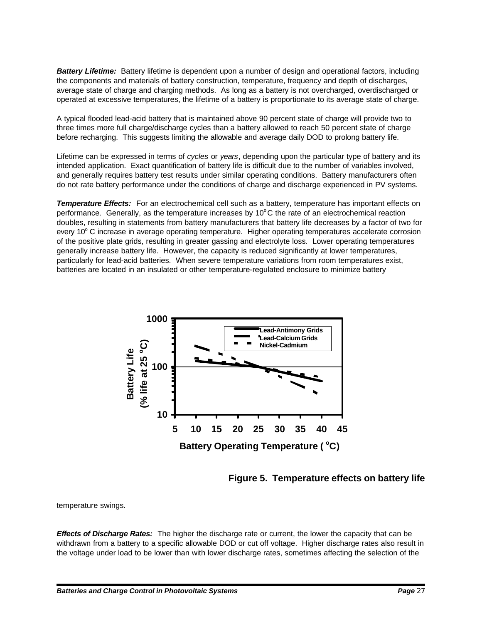**Battery Lifetime:** Battery lifetime is dependent upon a number of design and operational factors, including the components and materials of battery construction, temperature, frequency and depth of discharges, average state of charge and charging methods. As long as a battery is not overcharged, overdischarged or operated at excessive temperatures, the lifetime of a battery is proportionate to its average state of charge.

A typical flooded lead-acid battery that is maintained above 90 percent state of charge will provide two to three times more full charge/discharge cycles than a battery allowed to reach 50 percent state of charge before recharging. This suggests limiting the allowable and average daily DOD to prolong battery life.

Lifetime can be expressed in terms of *cycles* or *years*, depending upon the particular type of battery and its intended application. Exact quantification of battery life is difficult due to the number of variables involved, and generally requires battery test results under similar operating conditions. Battery manufacturers often do not rate battery performance under the conditions of charge and discharge experienced in PV systems.

*Temperature Effects:* For an electrochemical cell such as a battery, temperature has important effects on performance. Generally, as the temperature increases by  $10^{\circ}$ C the rate of an electrochemical reaction doubles, resulting in statements from battery manufacturers that battery life decreases by a factor of two for every 10° C increase in average operating temperature. Higher operating temperatures accelerate corrosion of the positive plate grids, resulting in greater gassing and electrolyte loss. Lower operating temperatures generally increase battery life. However, the capacity is reduced significantly at lower temperatures, particularly for lead-acid batteries. When severe temperature variations from room temperatures exist, batteries are located in an insulated or other temperature-regulated enclosure to minimize battery



### **Figure 5. Temperature effects on battery life**

temperature swings.

*Effects of Discharge Rates:* The higher the discharge rate or current, the lower the capacity that can be withdrawn from a battery to a specific allowable DOD or cut off voltage. Higher discharge rates also result in the voltage under load to be lower than with lower discharge rates, sometimes affecting the selection of the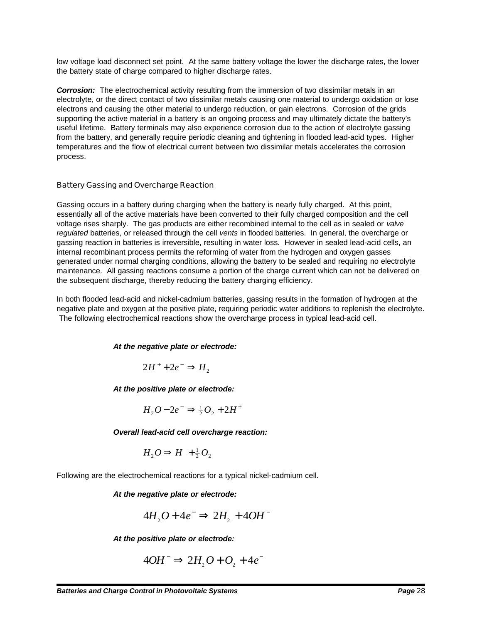low voltage load disconnect set point. At the same battery voltage the lower the discharge rates, the lower the battery state of charge compared to higher discharge rates.

*Corrosion:* The electrochemical activity resulting from the immersion of two dissimilar metals in an electrolyte, or the direct contact of two dissimilar metals causing one material to undergo oxidation or lose electrons and causing the other material to undergo reduction, or gain electrons. Corrosion of the grids supporting the active material in a battery is an ongoing process and may ultimately dictate the battery's useful lifetime. Battery terminals may also experience corrosion due to the action of electrolyte gassing from the battery, and generally require periodic cleaning and tightening in flooded lead-acid types. Higher temperatures and the flow of electrical current between two dissimilar metals accelerates the corrosion process.

### Battery Gassing and Overcharge Reaction

Gassing occurs in a battery during charging when the battery is nearly fully charged. At this point, essentially all of the active materials have been converted to their fully charged composition and the cell voltage rises sharply. The gas products are either recombined internal to the cell as in sealed or *valve regulated* batteries, or released through the cell *vents* in flooded batteries. In general, the overcharge or gassing reaction in batteries is irreversible, resulting in water loss. However in sealed lead-acid cells, an internal recombinant process permits the reforming of water from the hydrogen and oxygen gasses generated under normal charging conditions, allowing the battery to be sealed and requiring no electrolyte maintenance. All gassing reactions consume a portion of the charge current which can not be delivered on the subsequent discharge, thereby reducing the battery charging efficiency.

In both flooded lead-acid and nickel-cadmium batteries, gassing results in the formation of hydrogen at the negative plate and oxygen at the positive plate, requiring periodic water additions to replenish the electrolyte. The following electrochemical reactions show the overcharge process in typical lead-acid cell.

### *At the negative plate or electrode:*

$$
2H^+ + 2e^- \Rightarrow H_2
$$

*At the positive plate or electrode:*

$$
H_2O - 2e^- \Rightarrow \frac{1}{2}O_2 + 2H^+
$$

*Overall lead-acid cell overcharge reaction:*

$$
H_2O \Rightarrow H_1 + \frac{1}{2}O_2
$$

Following are the electrochemical reactions for a typical nickel-cadmium cell.

#### *At the negative plate or electrode:*

$$
4H_2O + 4e^- \Rightarrow 2H_2 + 4OH^-
$$

*At the positive plate or electrode:*

$$
4OH^- \Rightarrow 2H_2O + O_2 + 4e^-
$$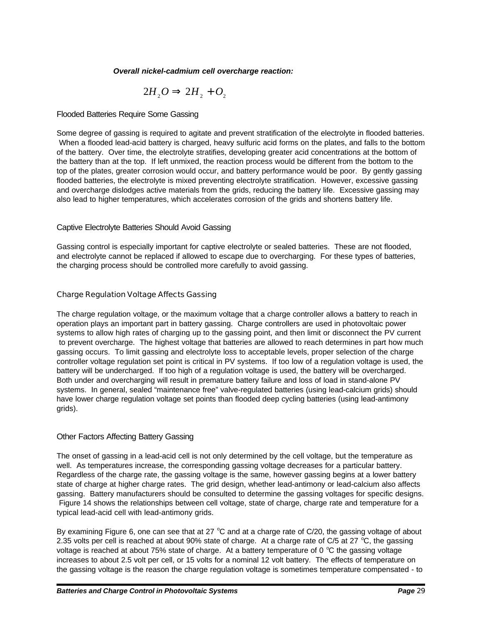### *Overall nickel-cadmium cell overcharge reaction:*

$$
2H_2O \Rightarrow 2H_2 + O_2
$$

Flooded Batteries Require Some Gassing

Some degree of gassing is required to agitate and prevent stratification of the electrolyte in flooded batteries. When a flooded lead-acid battery is charged, heavy sulfuric acid forms on the plates, and falls to the bottom of the battery. Over time, the electrolyte stratifies, developing greater acid concentrations at the bottom of the battery than at the top. If left unmixed, the reaction process would be different from the bottom to the top of the plates, greater corrosion would occur, and battery performance would be poor. By gently gassing flooded batteries, the electrolyte is mixed preventing electrolyte stratification. However, excessive gassing and overcharge dislodges active materials from the grids, reducing the battery life. Excessive gassing may also lead to higher temperatures, which accelerates corrosion of the grids and shortens battery life.

### Captive Electrolyte Batteries Should Avoid Gassing

Gassing control is especially important for captive electrolyte or sealed batteries. These are not flooded, and electrolyte cannot be replaced if allowed to escape due to overcharging. For these types of batteries, the charging process should be controlled more carefully to avoid gassing.

### Charge Regulation Voltage Affects Gassing

The charge regulation voltage, or the maximum voltage that a charge controller allows a battery to reach in operation plays an important part in battery gassing. Charge controllers are used in photovoltaic power systems to allow high rates of charging up to the gassing point, and then limit or disconnect the PV current to prevent overcharge. The highest voltage that batteries are allowed to reach determines in part how much gassing occurs. To limit gassing and electrolyte loss to acceptable levels, proper selection of the charge controller voltage regulation set point is critical in PV systems. If too low of a regulation voltage is used, the battery will be undercharged. If too high of a regulation voltage is used, the battery will be overcharged. Both under and overcharging will result in premature battery failure and loss of load in stand-alone PV systems. In general, sealed "maintenance free" valve-regulated batteries (using lead-calcium grids) should have lower charge regulation voltage set points than flooded deep cycling batteries (using lead-antimony grids).

### Other Factors Affecting Battery Gassing

The onset of gassing in a lead-acid cell is not only determined by the cell voltage, but the temperature as well. As temperatures increase, the corresponding gassing voltage decreases for a particular battery. Regardless of the charge rate, the gassing voltage is the same, however gassing begins at a lower battery state of charge at higher charge rates. The grid design, whether lead-antimony or lead-calcium also affects gassing. Battery manufacturers should be consulted to determine the gassing voltages for specific designs. Figure 14 shows the relationships between cell voltage, state of charge, charge rate and temperature for a typical lead-acid cell with lead-antimony grids.

By examining Figure 6, one can see that at 27  $^{\circ}$ C and at a charge rate of C/20, the gassing voltage of about 2.35 volts per cell is reached at about 90% state of charge. At a charge rate of C/5 at 27  $^{\circ}$ C, the gassing voltage is reached at about 75% state of charge. At a battery temperature of 0  $\degree$ C the gassing voltage increases to about 2.5 volt per cell, or 15 volts for a nominal 12 volt battery. The effects of temperature on the gassing voltage is the reason the charge regulation voltage is sometimes temperature compensated - to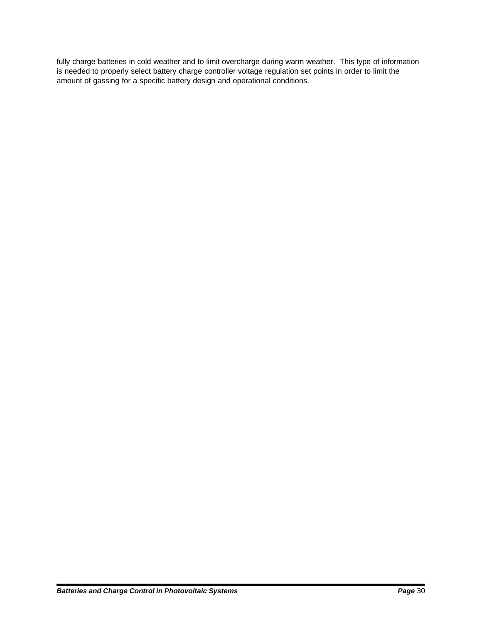fully charge batteries in cold weather and to limit overcharge during warm weather. This type of information is needed to properly select battery charge controller voltage regulation set points in order to limit the amount of gassing for a specific battery design and operational conditions.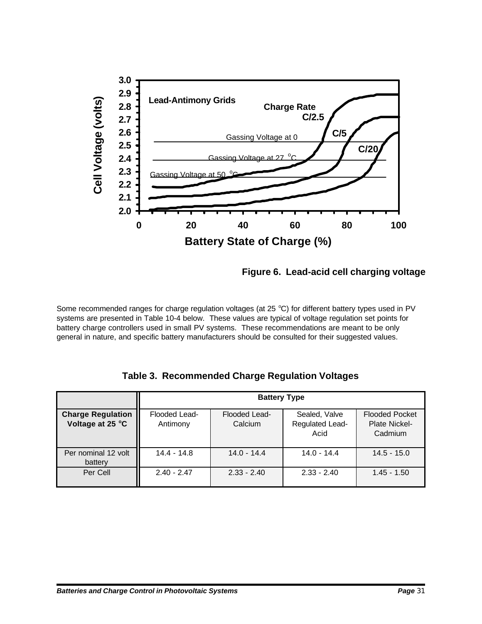

**Figure 6. Lead-acid cell charging voltage**

Some recommended ranges for charge regulation voltages (at 25 °C) for different battery types used in PV systems are presented in Table 10-4 below. These values are typical of voltage regulation set points for battery charge controllers used in small PV systems. These recommendations are meant to be only general in nature, and specific battery manufacturers should be consulted for their suggested values.

**Table 3. Recommended Charge Regulation Voltages**

|                                              | <b>Battery Type</b>       |                          |                                          |                                                   |
|----------------------------------------------|---------------------------|--------------------------|------------------------------------------|---------------------------------------------------|
| <b>Charge Regulation</b><br>Voltage at 25 °C | Flooded Lead-<br>Antimony | Flooded Lead-<br>Calcium | Sealed, Valve<br>Regulated Lead-<br>Acid | <b>Flooded Pocket</b><br>Plate Nickel-<br>Cadmium |
| Per nominal 12 volt<br>battery               | $14.4 - 14.8$             | $14.0 - 14.4$            | $14.0 - 14.4$                            | $14.5 - 15.0$                                     |
| Per Cell                                     | $2.40 - 2.47$             | $2.33 - 2.40$            | $2.33 - 2.40$                            | $1.45 - 1.50$                                     |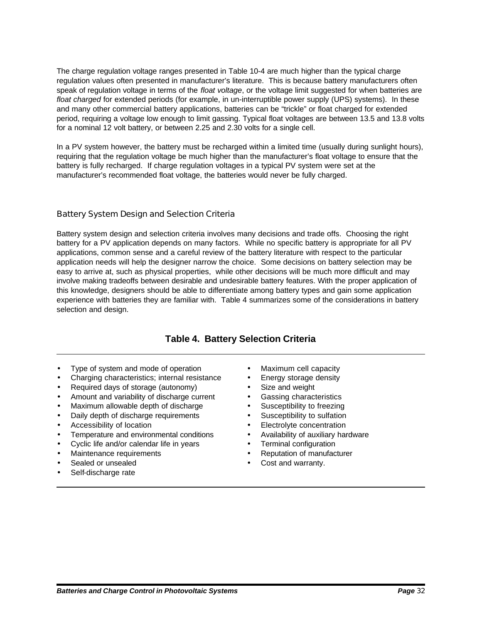The charge regulation voltage ranges presented in Table 10-4 are much higher than the typical charge regulation values often presented in manufacturer's literature. This is because battery manufacturers often speak of regulation voltage in terms of the *float voltage*, or the voltage limit suggested for when batteries are *float charged* for extended periods (for example, in un-interruptible power supply (UPS) systems). In these and many other commercial battery applications, batteries can be "trickle" or float charged for extended period, requiring a voltage low enough to limit gassing. Typical float voltages are between 13.5 and 13.8 volts for a nominal 12 volt battery, or between 2.25 and 2.30 volts for a single cell.

In a PV system however, the battery must be recharged within a limited time (usually during sunlight hours), requiring that the regulation voltage be much higher than the manufacturer's float voltage to ensure that the battery is fully recharged. If charge regulation voltages in a typical PV system were set at the manufacturer's recommended float voltage, the batteries would never be fully charged.

### Battery System Design and Selection Criteria

Battery system design and selection criteria involves many decisions and trade offs. Choosing the right battery for a PV application depends on many factors. While no specific battery is appropriate for all PV applications, common sense and a careful review of the battery literature with respect to the particular application needs will help the designer narrow the choice. Some decisions on battery selection may be easy to arrive at, such as physical properties, while other decisions will be much more difficult and may involve making tradeoffs between desirable and undesirable battery features. With the proper application of this knowledge, designers should be able to differentiate among battery types and gain some application experience with batteries they are familiar with. Table 4 summarizes some of the considerations in battery selection and design.

### **Table 4. Battery Selection Criteria**

- Type of system and mode of operation
- Charging characteristics; internal resistance
- Required days of storage (autonomy)
- Amount and variability of discharge current
- Maximum allowable depth of discharge
- Daily depth of discharge requirements
- Accessibility of location
- Temperature and environmental conditions
- Cyclic life and/or calendar life in years
- Maintenance requirements
- Sealed or unsealed
- Self-discharge rate
- Maximum cell capacity
- Energy storage density
- Size and weight
- Gassing characteristics
- Susceptibility to freezing
- Susceptibility to sulfation
- Electrolyte concentration
- Availability of auxiliary hardware
- Terminal configuration
- Reputation of manufacturer
- Cost and warranty.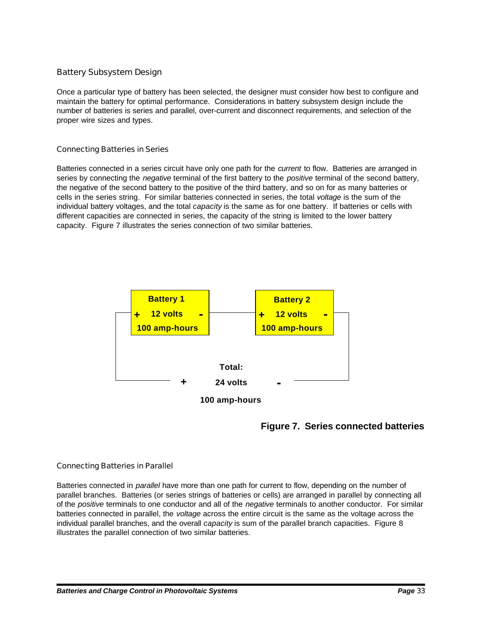### Battery Subsystem Design

Once a particular type of battery has been selected, the designer must consider how best to configure and maintain the battery for optimal performance. Considerations in battery subsystem design include the number of batteries is series and parallel, over-current and disconnect requirements, and selection of the proper wire sizes and types.

### Connecting Batteries in Series

Batteries connected in a series circuit have only one path for the *current* to flow. Batteries are arranged in series by connecting the *negative* terminal of the first battery to the *positive* terminal of the second battery, the negative of the second battery to the positive of the third battery, and so on for as many batteries or cells in the series string. For similar batteries connected in series, the total *voltage* is the sum of the individual battery voltages, and the total *capacity* is the same as for one battery. If batteries or cells with different capacities are connected in series, the capacity of the string is limited to the lower battery capacity. Figure 7 illustrates the series connection of two similar batteries.



### **Figure 7. Series connected batteries**

### Connecting Batteries in Parallel

Batteries connected in *parallel* have more than one path for current to flow, depending on the number of parallel branches. Batteries (or series strings of batteries or cells) are arranged in parallel by connecting all of the *positive* terminals to one conductor and all of the *negative* terminals to another conductor. For similar batteries connected in parallel, the *voltage* across the entire circuit is the same as the voltage across the individual parallel branches, and the overall *capacity* is sum of the parallel branch capacities. Figure 8 illustrates the parallel connection of two similar batteries.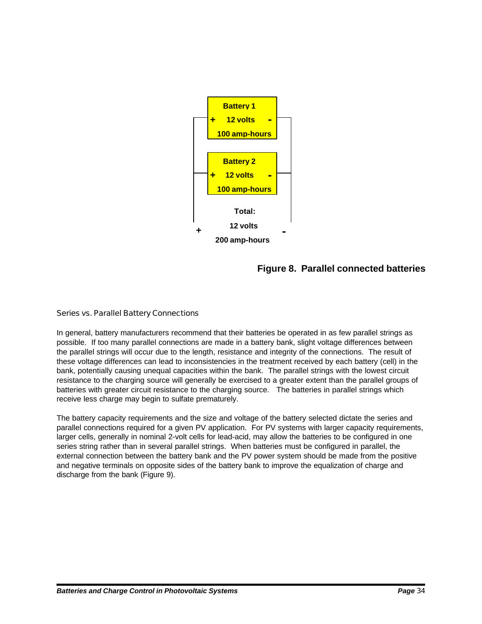

### **Figure 8. Parallel connected batteries**

### Series vs. Parallel Battery Connections

In general, battery manufacturers recommend that their batteries be operated in as few parallel strings as possible. If too many parallel connections are made in a battery bank, slight voltage differences between the parallel strings will occur due to the length, resistance and integrity of the connections. The result of these voltage differences can lead to inconsistencies in the treatment received by each battery (cell) in the bank, potentially causing unequal capacities within the bank. The parallel strings with the lowest circuit resistance to the charging source will generally be exercised to a greater extent than the parallel groups of batteries with greater circuit resistance to the charging source. The batteries in parallel strings which receive less charge may begin to sulfate prematurely.

The battery capacity requirements and the size and voltage of the battery selected dictate the series and parallel connections required for a given PV application. For PV systems with larger capacity requirements, larger cells, generally in nominal 2-volt cells for lead-acid, may allow the batteries to be configured in one series string rather than in several parallel strings. When batteries must be configured in parallel, the external connection between the battery bank and the PV power system should be made from the positive and negative terminals on opposite sides of the battery bank to improve the equalization of charge and discharge from the bank (Figure 9).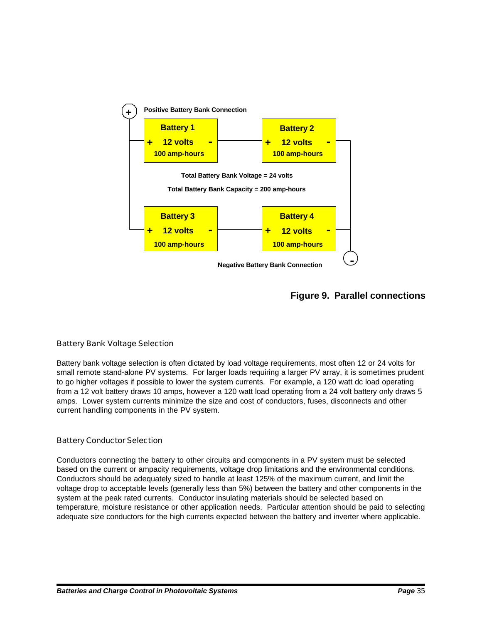

### **Figure 9. Parallel connections**

### Battery Bank Voltage Selection

Battery bank voltage selection is often dictated by load voltage requirements, most often 12 or 24 volts for small remote stand-alone PV systems. For larger loads requiring a larger PV array, it is sometimes prudent to go higher voltages if possible to lower the system currents. For example, a 120 watt dc load operating from a 12 volt battery draws 10 amps, however a 120 watt load operating from a 24 volt battery only draws 5 amps. Lower system currents minimize the size and cost of conductors, fuses, disconnects and other current handling components in the PV system.

### Battery Conductor Selection

Conductors connecting the battery to other circuits and components in a PV system must be selected based on the current or ampacity requirements, voltage drop limitations and the environmental conditions. Conductors should be adequately sized to handle at least 125% of the maximum current, and limit the voltage drop to acceptable levels (generally less than 5%) between the battery and other components in the system at the peak rated currents. Conductor insulating materials should be selected based on temperature, moisture resistance or other application needs. Particular attention should be paid to selecting adequate size conductors for the high currents expected between the battery and inverter where applicable.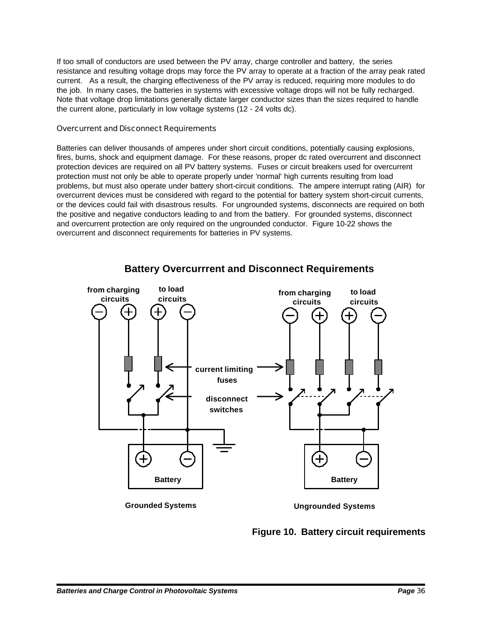If too small of conductors are used between the PV array, charge controller and battery, the series resistance and resulting voltage drops may force the PV array to operate at a fraction of the array peak rated current. As a result, the charging effectiveness of the PV array is reduced, requiring more modules to do the job. In many cases, the batteries in systems with excessive voltage drops will not be fully recharged. Note that voltage drop limitations generally dictate larger conductor sizes than the sizes required to handle the current alone, particularly in low voltage systems (12 - 24 volts dc).

### Overcurrent and Disconnect Requirements

Batteries can deliver thousands of amperes under short circuit conditions, potentially causing explosions, fires, burns, shock and equipment damage. For these reasons, proper dc rated overcurrent and disconnect protection devices are required on all PV battery systems. Fuses or circuit breakers used for overcurrent protection must not only be able to operate properly under 'normal' high currents resulting from load problems, but must also operate under battery short-circuit conditions. The ampere interrupt rating (AIR) for overcurrent devices must be considered with regard to the potential for battery system short-circuit currents, or the devices could fail with disastrous results. For ungrounded systems, disconnects are required on both the positive and negative conductors leading to and from the battery. For grounded systems, disconnect and overcurrent protection are only required on the ungrounded conductor. Figure 10-22 shows the overcurrent and disconnect requirements for batteries in PV systems.



### **Battery Overcurrrent and Disconnect Requirements**

**Grounded Systems Ungrounded Systems**

### **Figure 10. Battery circuit requirements**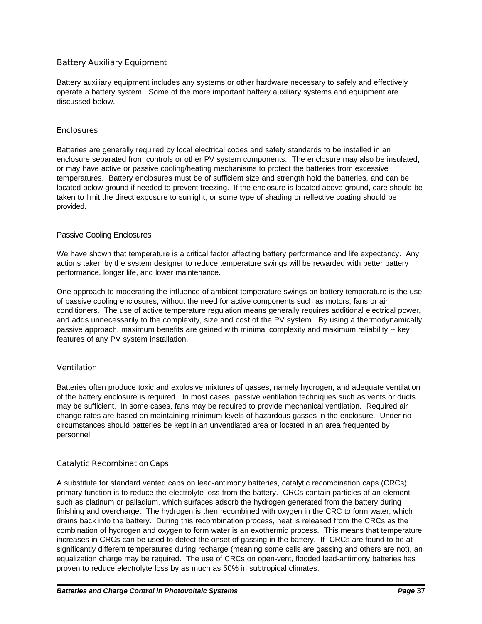### Battery Auxiliary Equipment

Battery auxiliary equipment includes any systems or other hardware necessary to safely and effectively operate a battery system. Some of the more important battery auxiliary systems and equipment are discussed below.

### **Enclosures**

Batteries are generally required by local electrical codes and safety standards to be installed in an enclosure separated from controls or other PV system components. The enclosure may also be insulated, or may have active or passive cooling/heating mechanisms to protect the batteries from excessive temperatures. Battery enclosures must be of sufficient size and strength hold the batteries, and can be located below ground if needed to prevent freezing. If the enclosure is located above ground, care should be taken to limit the direct exposure to sunlight, or some type of shading or reflective coating should be provided.

### Passive Cooling Enclosures

We have shown that temperature is a critical factor affecting battery performance and life expectancy. Any actions taken by the system designer to reduce temperature swings will be rewarded with better battery performance, longer life, and lower maintenance.

One approach to moderating the influence of ambient temperature swings on battery temperature is the use of passive cooling enclosures, without the need for active components such as motors, fans or air conditioners. The use of active temperature regulation means generally requires additional electrical power, and adds unnecessarily to the complexity, size and cost of the PV system. By using a thermodynamically passive approach, maximum benefits are gained with minimal complexity and maximum reliability -- key features of any PV system installation.

### **Ventilation**

Batteries often produce toxic and explosive mixtures of gasses, namely hydrogen, and adequate ventilation of the battery enclosure is required. In most cases, passive ventilation techniques such as vents or ducts may be sufficient. In some cases, fans may be required to provide mechanical ventilation. Required air change rates are based on maintaining minimum levels of hazardous gasses in the enclosure. Under no circumstances should batteries be kept in an unventilated area or located in an area frequented by personnel.

### Catalytic Recombination Caps

A substitute for standard vented caps on lead-antimony batteries, catalytic recombination caps (CRCs) primary function is to reduce the electrolyte loss from the battery. CRCs contain particles of an element such as platinum or palladium, which surfaces adsorb the hydrogen generated from the battery during finishing and overcharge. The hydrogen is then recombined with oxygen in the CRC to form water, which drains back into the battery. During this recombination process, heat is released from the CRCs as the combination of hydrogen and oxygen to form water is an exothermic process. This means that temperature increases in CRCs can be used to detect the onset of gassing in the battery. If CRCs are found to be at significantly different temperatures during recharge (meaning some cells are gassing and others are not), an equalization charge may be required. The use of CRCs on open-vent, flooded lead-antimony batteries has proven to reduce electrolyte loss by as much as 50% in subtropical climates.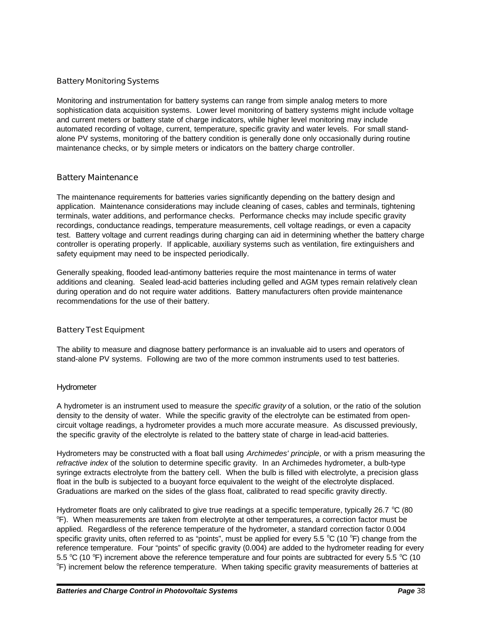### Battery Monitoring Systems

Monitoring and instrumentation for battery systems can range from simple analog meters to more sophistication data acquisition systems. Lower level monitoring of battery systems might include voltage and current meters or battery state of charge indicators, while higher level monitoring may include automated recording of voltage, current, temperature, specific gravity and water levels. For small standalone PV systems, monitoring of the battery condition is generally done only occasionally during routine maintenance checks, or by simple meters or indicators on the battery charge controller.

### Battery Maintenance

The maintenance requirements for batteries varies significantly depending on the battery design and application. Maintenance considerations may include cleaning of cases, cables and terminals, tightening terminals, water additions, and performance checks. Performance checks may include specific gravity recordings, conductance readings, temperature measurements, cell voltage readings, or even a capacity test. Battery voltage and current readings during charging can aid in determining whether the battery charge controller is operating properly. If applicable, auxiliary systems such as ventilation, fire extinguishers and safety equipment may need to be inspected periodically.

Generally speaking, flooded lead-antimony batteries require the most maintenance in terms of water additions and cleaning. Sealed lead-acid batteries including gelled and AGM types remain relatively clean during operation and do not require water additions. Battery manufacturers often provide maintenance recommendations for the use of their battery.

### Battery Test Equipment

The ability to measure and diagnose battery performance is an invaluable aid to users and operators of stand-alone PV systems. Following are two of the more common instruments used to test batteries.

### **Hydrometer**

A hydrometer is an instrument used to measure the *specific gravity* of a solution, or the ratio of the solution density to the density of water. While the specific gravity of the electrolyte can be estimated from opencircuit voltage readings, a hydrometer provides a much more accurate measure. As discussed previously, the specific gravity of the electrolyte is related to the battery state of charge in lead-acid batteries.

Hydrometers may be constructed with a float ball using *Archimedes' principle*, or with a prism measuring the *refractive index* of the solution to determine specific gravity. In an Archimedes hydrometer, a bulb-type syringe extracts electrolyte from the battery cell. When the bulb is filled with electrolyte, a precision glass float in the bulb is subjected to a buoyant force equivalent to the weight of the electrolyte displaced. Graduations are marked on the sides of the glass float, calibrated to read specific gravity directly.

Hydrometer floats are only calibrated to give true readings at a specific temperature, typically 26.7  $\degree$ C (80 <sup>o</sup>F). When measurements are taken from electrolyte at other temperatures, a correction factor must be applied. Regardless of the reference temperature of the hydrometer, a standard correction factor 0.004 specific gravity units, often referred to as "points", must be applied for every 5.5  $^{\circ}$ C (10  $^{\circ}$ F) change from the reference temperature. Four "points" of specific gravity (0.004) are added to the hydrometer reading for every 5.5 °C (10 °F) increment above the reference temperature and four points are subtracted for every 5.5 °C (10 <sup>o</sup>F) increment below the reference temperature. When taking specific gravity measurements of batteries at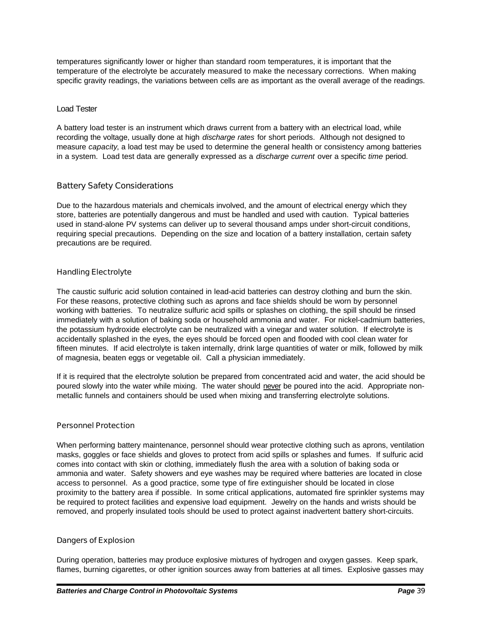temperatures significantly lower or higher than standard room temperatures, it is important that the temperature of the electrolyte be accurately measured to make the necessary corrections. When making specific gravity readings, the variations between cells are as important as the overall average of the readings.

### Load Tester

A battery load tester is an instrument which draws current from a battery with an electrical load, while recording the voltage, usually done at high *discharge rates* for short periods. Although not designed to measure *capacity*, a load test may be used to determine the general health or consistency among batteries in a system. Load test data are generally expressed as a *discharge current* over a specific *time* period.

### Battery Safety Considerations

Due to the hazardous materials and chemicals involved, and the amount of electrical energy which they store, batteries are potentially dangerous and must be handled and used with caution. Typical batteries used in stand-alone PV systems can deliver up to several thousand amps under short-circuit conditions, requiring special precautions. Depending on the size and location of a battery installation, certain safety precautions are be required.

### Handling Electrolyte

The caustic sulfuric acid solution contained in lead-acid batteries can destroy clothing and burn the skin. For these reasons, protective clothing such as aprons and face shields should be worn by personnel working with batteries. To neutralize sulfuric acid spills or splashes on clothing, the spill should be rinsed immediately with a solution of baking soda or household ammonia and water. For nickel-cadmium batteries, the potassium hydroxide electrolyte can be neutralized with a vinegar and water solution. If electrolyte is accidentally splashed in the eyes, the eyes should be forced open and flooded with cool clean water for fifteen minutes. If acid electrolyte is taken internally, drink large quantities of water or milk, followed by milk of magnesia, beaten eggs or vegetable oil. Call a physician immediately.

If it is required that the electrolyte solution be prepared from concentrated acid and water, the acid should be poured slowly into the water while mixing. The water should never be poured into the acid. Appropriate nonmetallic funnels and containers should be used when mixing and transferring electrolyte solutions.

### Personnel Protection

When performing battery maintenance, personnel should wear protective clothing such as aprons, ventilation masks, goggles or face shields and gloves to protect from acid spills or splashes and fumes. If sulfuric acid comes into contact with skin or clothing, immediately flush the area with a solution of baking soda or ammonia and water. Safety showers and eye washes may be required where batteries are located in close access to personnel. As a good practice, some type of fire extinguisher should be located in close proximity to the battery area if possible. In some critical applications, automated fire sprinkler systems may be required to protect facilities and expensive load equipment. Jewelry on the hands and wrists should be removed, and properly insulated tools should be used to protect against inadvertent battery short-circuits.

### Dangers of Explosion

During operation, batteries may produce explosive mixtures of hydrogen and oxygen gasses. Keep spark, flames, burning cigarettes, or other ignition sources away from batteries at all times. Explosive gasses may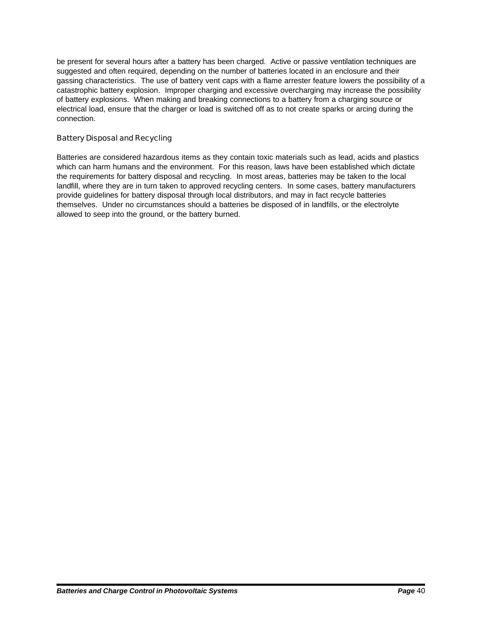be present for several hours after a battery has been charged. Active or passive ventilation techniques are suggested and often required, depending on the number of batteries located in an enclosure and their gassing characteristics. The use of battery vent caps with a flame arrester feature lowers the possibility of a catastrophic battery explosion. Improper charging and excessive overcharging may increase the possibility of battery explosions. When making and breaking connections to a battery from a charging source or electrical load, ensure that the charger or load is switched off as to not create sparks or arcing during the connection.

### Battery Disposal and Recycling

Batteries are considered hazardous items as they contain toxic materials such as lead, acids and plastics which can harm humans and the environment. For this reason, laws have been established which dictate the requirements for battery disposal and recycling. In most areas, batteries may be taken to the local landfill, where they are in turn taken to approved recycling centers. In some cases, battery manufacturers provide guidelines for battery disposal through local distributors, and may in fact recycle batteries themselves. Under no circumstances should a batteries be disposed of in landfills, or the electrolyte allowed to seep into the ground, or the battery burned.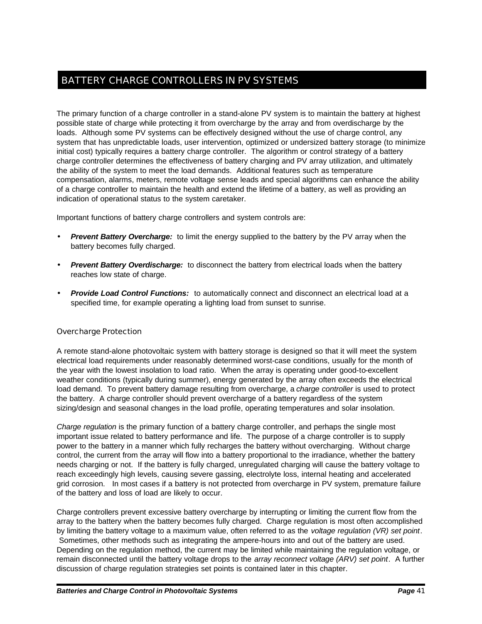### BATTERY CHARGE CONTROLLERS IN PV SYSTEMS

The primary function of a charge controller in a stand-alone PV system is to maintain the battery at highest possible state of charge while protecting it from overcharge by the array and from overdischarge by the loads. Although some PV systems can be effectively designed without the use of charge control, any system that has unpredictable loads, user intervention, optimized or undersized battery storage (to minimize initial cost) typically requires a battery charge controller. The algorithm or control strategy of a battery charge controller determines the effectiveness of battery charging and PV array utilization, and ultimately the ability of the system to meet the load demands. Additional features such as temperature compensation, alarms, meters, remote voltage sense leads and special algorithms can enhance the ability of a charge controller to maintain the health and extend the lifetime of a battery, as well as providing an indication of operational status to the system caretaker.

Important functions of battery charge controllers and system controls are:

- **Prevent Battery Overcharge:** to limit the energy supplied to the battery by the PV array when the battery becomes fully charged.
- **Prevent Battery Overdischarge:** to disconnect the battery from electrical loads when the battery reaches low state of charge.
- *Provide Load Control Functions:* to automatically connect and disconnect an electrical load at a specified time, for example operating a lighting load from sunset to sunrise.

### Overcharge Protection

A remote stand-alone photovoltaic system with battery storage is designed so that it will meet the system electrical load requirements under reasonably determined worst-case conditions, usually for the month of the year with the lowest insolation to load ratio. When the array is operating under good-to-excellent weather conditions (typically during summer), energy generated by the array often exceeds the electrical load demand. To prevent battery damage resulting from overcharge, a *charge controller* is used to protect the battery. A charge controller should prevent overcharge of a battery regardless of the system sizing/design and seasonal changes in the load profile, operating temperatures and solar insolation.

*Charge regulation* is the primary function of a battery charge controller, and perhaps the single most important issue related to battery performance and life. The purpose of a charge controller is to supply power to the battery in a manner which fully recharges the battery without overcharging. Without charge control, the current from the array will flow into a battery proportional to the irradiance, whether the battery needs charging or not. If the battery is fully charged, unregulated charging will cause the battery voltage to reach exceedingly high levels, causing severe gassing, electrolyte loss, internal heating and accelerated grid corrosion. In most cases if a battery is not protected from overcharge in PV system, premature failure of the battery and loss of load are likely to occur.

Charge controllers prevent excessive battery overcharge by interrupting or limiting the current flow from the array to the battery when the battery becomes fully charged. Charge regulation is most often accomplished by limiting the battery voltage to a maximum value, often referred to as the *voltage regulation (VR) set point*. Sometimes, other methods such as integrating the ampere-hours into and out of the battery are used. Depending on the regulation method, the current may be limited while maintaining the regulation voltage, or remain disconnected until the battery voltage drops to the *array reconnect voltage (ARV) set point*. A further discussion of charge regulation strategies set points is contained later in this chapter.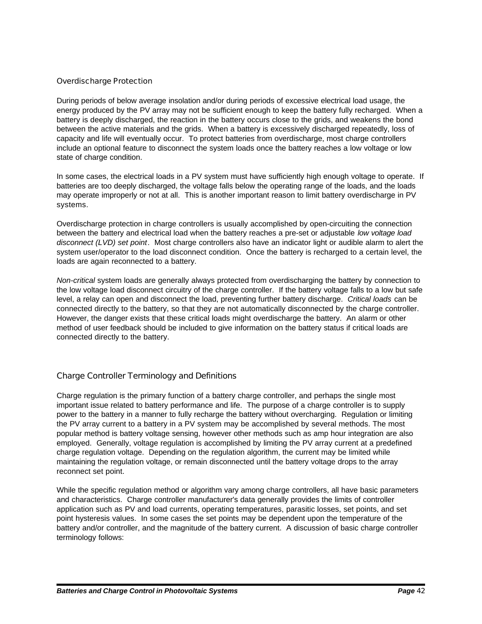### Overdischarge Protection

During periods of below average insolation and/or during periods of excessive electrical load usage, the energy produced by the PV array may not be sufficient enough to keep the battery fully recharged. When a battery is deeply discharged, the reaction in the battery occurs close to the grids, and weakens the bond between the active materials and the grids. When a battery is excessively discharged repeatedly, loss of capacity and life will eventually occur. To protect batteries from overdischarge, most charge controllers include an optional feature to disconnect the system loads once the battery reaches a low voltage or low state of charge condition.

In some cases, the electrical loads in a PV system must have sufficiently high enough voltage to operate. If batteries are too deeply discharged, the voltage falls below the operating range of the loads, and the loads may operate improperly or not at all. This is another important reason to limit battery overdischarge in PV systems.

Overdischarge protection in charge controllers is usually accomplished by open-circuiting the connection between the battery and electrical load when the battery reaches a pre-set or adjustable *low voltage load disconnect (LVD) set point*. Most charge controllers also have an indicator light or audible alarm to alert the system user/operator to the load disconnect condition. Once the battery is recharged to a certain level, the loads are again reconnected to a battery.

*Non-critical* system loads are generally always protected from overdischarging the battery by connection to the low voltage load disconnect circuitry of the charge controller. If the battery voltage falls to a low but safe level, a relay can open and disconnect the load, preventing further battery discharge. *Critical loads* can be connected directly to the battery, so that they are not automatically disconnected by the charge controller. However, the danger exists that these critical loads might overdischarge the battery. An alarm or other method of user feedback should be included to give information on the battery status if critical loads are connected directly to the battery.

### Charge Controller Terminology and Definitions

Charge regulation is the primary function of a battery charge controller, and perhaps the single most important issue related to battery performance and life. The purpose of a charge controller is to supply power to the battery in a manner to fully recharge the battery without overcharging. Regulation or limiting the PV array current to a battery in a PV system may be accomplished by several methods. The most popular method is battery voltage sensing, however other methods such as amp hour integration are also employed. Generally, voltage regulation is accomplished by limiting the PV array current at a predefined charge regulation voltage. Depending on the regulation algorithm, the current may be limited while maintaining the regulation voltage, or remain disconnected until the battery voltage drops to the array reconnect set point.

While the specific regulation method or algorithm vary among charge controllers, all have basic parameters and characteristics. Charge controller manufacturer's data generally provides the limits of controller application such as PV and load currents, operating temperatures, parasitic losses, set points, and set point hysteresis values. In some cases the set points may be dependent upon the temperature of the battery and/or controller, and the magnitude of the battery current. A discussion of basic charge controller terminology follows: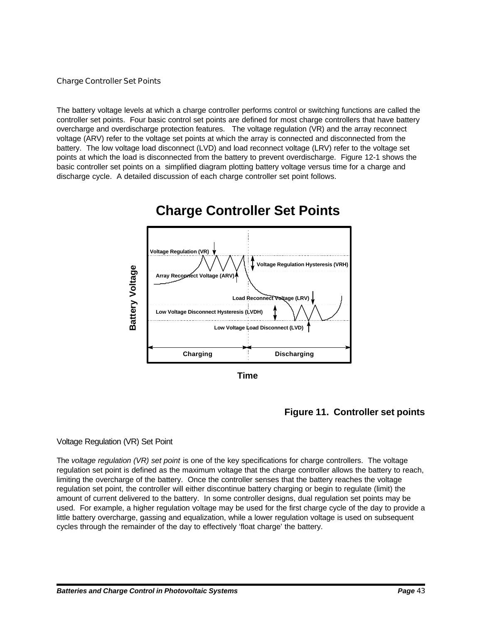### Charge Controller Set Points

The battery voltage levels at which a charge controller performs control or switching functions are called the controller set points. Four basic control set points are defined for most charge controllers that have battery overcharge and overdischarge protection features. The voltage regulation (VR) and the array reconnect voltage (ARV) refer to the voltage set points at which the array is connected and disconnected from the battery. The low voltage load disconnect (LVD) and load reconnect voltage (LRV) refer to the voltage set points at which the load is disconnected from the battery to prevent overdischarge. Figure 12-1 shows the basic controller set points on a simplified diagram plotting battery voltage versus time for a charge and discharge cycle. A detailed discussion of each charge controller set point follows.



### **Figure 11. Controller set points**

### Voltage Regulation (VR) Set Point

The *voltage regulation (VR) set point* is one of the key specifications for charge controllers. The voltage regulation set point is defined as the maximum voltage that the charge controller allows the battery to reach, limiting the overcharge of the battery. Once the controller senses that the battery reaches the voltage regulation set point, the controller will either discontinue battery charging or begin to regulate (limit) the amount of current delivered to the battery. In some controller designs, dual regulation set points may be used. For example, a higher regulation voltage may be used for the first charge cycle of the day to provide a little battery overcharge, gassing and equalization, while a lower regulation voltage is used on subsequent cycles through the remainder of the day to effectively 'float charge' the battery.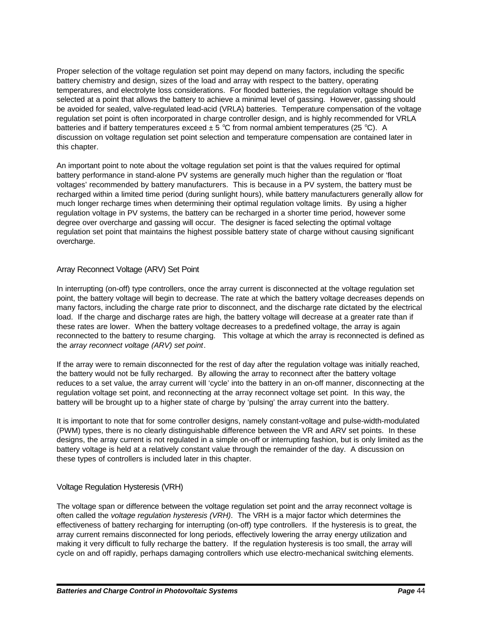Proper selection of the voltage regulation set point may depend on many factors, including the specific battery chemistry and design, sizes of the load and array with respect to the battery, operating temperatures, and electrolyte loss considerations. For flooded batteries, the regulation voltage should be selected at a point that allows the battery to achieve a minimal level of gassing. However, gassing should be avoided for sealed, valve-regulated lead-acid (VRLA) batteries. Temperature compensation of the voltage regulation set point is often incorporated in charge controller design, and is highly recommended for VRLA batteries and if battery temperatures exceed  $\pm$  5 °C from normal ambient temperatures (25 °C). A discussion on voltage regulation set point selection and temperature compensation are contained later in this chapter.

An important point to note about the voltage regulation set point is that the values required for optimal battery performance in stand-alone PV systems are generally much higher than the regulation or 'float voltages' recommended by battery manufacturers. This is because in a PV system, the battery must be recharged within a limited time period (during sunlight hours), while battery manufacturers generally allow for much longer recharge times when determining their optimal regulation voltage limits. By using a higher regulation voltage in PV systems, the battery can be recharged in a shorter time period, however some degree over overcharge and gassing will occur. The designer is faced selecting the optimal voltage regulation set point that maintains the highest possible battery state of charge without causing significant overcharge.

### Array Reconnect Voltage (ARV) Set Point

In interrupting (on-off) type controllers, once the array current is disconnected at the voltage regulation set point, the battery voltage will begin to decrease. The rate at which the battery voltage decreases depends on many factors, including the charge rate prior to disconnect, and the discharge rate dictated by the electrical load. If the charge and discharge rates are high, the battery voltage will decrease at a greater rate than if these rates are lower. When the battery voltage decreases to a predefined voltage, the array is again reconnected to the battery to resume charging. This voltage at which the array is reconnected is defined as the *array reconnect voltage (ARV) set point*.

If the array were to remain disconnected for the rest of day after the regulation voltage was initially reached, the battery would not be fully recharged. By allowing the array to reconnect after the battery voltage reduces to a set value, the array current will 'cycle' into the battery in an on-off manner, disconnecting at the regulation voltage set point, and reconnecting at the array reconnect voltage set point. In this way, the battery will be brought up to a higher state of charge by 'pulsing' the array current into the battery.

It is important to note that for some controller designs, namely constant-voltage and pulse-width-modulated (PWM) types, there is no clearly distinguishable difference between the VR and ARV set points. In these designs, the array current is not regulated in a simple on-off or interrupting fashion, but is only limited as the battery voltage is held at a relatively constant value through the remainder of the day. A discussion on these types of controllers is included later in this chapter.

### Voltage Regulation Hysteresis (VRH)

The voltage span or difference between the voltage regulation set point and the array reconnect voltage is often called the *voltage regulation hysteresis (VRH)*. The VRH is a major factor which determines the effectiveness of battery recharging for interrupting (on-off) type controllers. If the hysteresis is to great, the array current remains disconnected for long periods, effectively lowering the array energy utilization and making it very difficult to fully recharge the battery. If the regulation hysteresis is too small, the array will cycle on and off rapidly, perhaps damaging controllers which use electro-mechanical switching elements.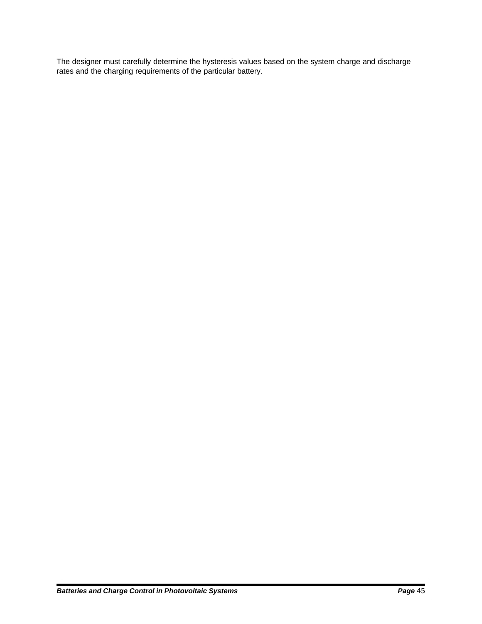The designer must carefully determine the hysteresis values based on the system charge and discharge rates and the charging requirements of the particular battery.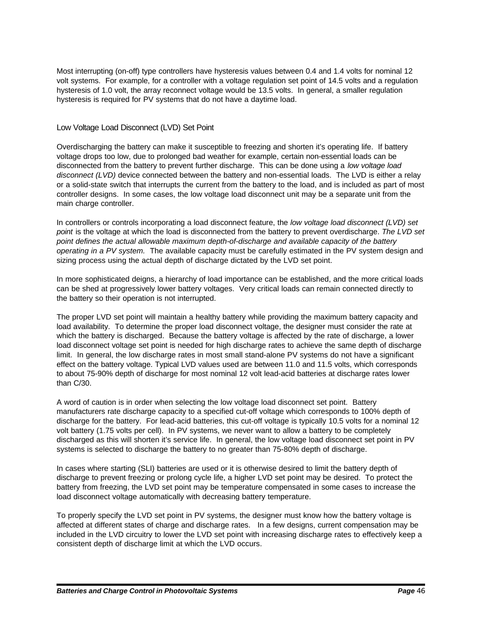Most interrupting (on-off) type controllers have hysteresis values between 0.4 and 1.4 volts for nominal 12 volt systems. For example, for a controller with a voltage regulation set point of 14.5 volts and a regulation hysteresis of 1.0 volt, the array reconnect voltage would be 13.5 volts. In general, a smaller regulation hysteresis is required for PV systems that do not have a daytime load.

### Low Voltage Load Disconnect (LVD) Set Point

Overdischarging the battery can make it susceptible to freezing and shorten it's operating life. If battery voltage drops too low, due to prolonged bad weather for example, certain non-essential loads can be disconnected from the battery to prevent further discharge. This can be done using a *low voltage load disconnect (LVD)* device connected between the battery and non-essential loads. The LVD is either a relay or a solid-state switch that interrupts the current from the battery to the load, and is included as part of most controller designs. In some cases, the low voltage load disconnect unit may be a separate unit from the main charge controller.

In controllers or controls incorporating a load disconnect feature, the *low voltage load disconnect (LVD) set point* is the voltage at which the load is disconnected from the battery to prevent overdischarge. *The LVD set point defines the actual allowable maximum depth-of-discharge and available capacity of the battery operating in a PV system.* The available capacity must be carefully estimated in the PV system design and sizing process using the actual depth of discharge dictated by the LVD set point.

In more sophisticated deigns, a hierarchy of load importance can be established, and the more critical loads can be shed at progressively lower battery voltages. Very critical loads can remain connected directly to the battery so their operation is not interrupted.

The proper LVD set point will maintain a healthy battery while providing the maximum battery capacity and load availability. To determine the proper load disconnect voltage, the designer must consider the rate at which the battery is discharged. Because the battery voltage is affected by the rate of discharge, a lower load disconnect voltage set point is needed for high discharge rates to achieve the same depth of discharge limit. In general, the low discharge rates in most small stand-alone PV systems do not have a significant effect on the battery voltage. Typical LVD values used are between 11.0 and 11.5 volts, which corresponds to about 75-90% depth of discharge for most nominal 12 volt lead-acid batteries at discharge rates lower than C/30.

A word of caution is in order when selecting the low voltage load disconnect set point. Battery manufacturers rate discharge capacity to a specified cut-off voltage which corresponds to 100% depth of discharge for the battery. For lead-acid batteries, this cut-off voltage is typically 10.5 volts for a nominal 12 volt battery (1.75 volts per cell). In PV systems, we never want to allow a battery to be completely discharged as this will shorten it's service life. In general, the low voltage load disconnect set point in PV systems is selected to discharge the battery to no greater than 75-80% depth of discharge.

In cases where starting (SLI) batteries are used or it is otherwise desired to limit the battery depth of discharge to prevent freezing or prolong cycle life, a higher LVD set point may be desired. To protect the battery from freezing, the LVD set point may be temperature compensated in some cases to increase the load disconnect voltage automatically with decreasing battery temperature.

To properly specify the LVD set point in PV systems, the designer must know how the battery voltage is affected at different states of charge and discharge rates. In a few designs, current compensation may be included in the LVD circuitry to lower the LVD set point with increasing discharge rates to effectively keep a consistent depth of discharge limit at which the LVD occurs.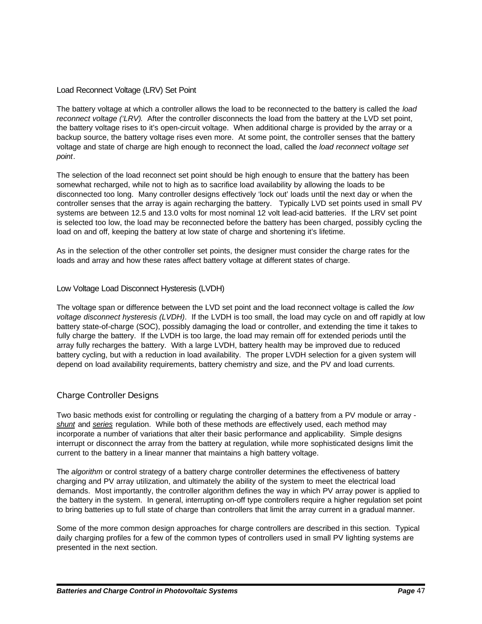### Load Reconnect Voltage (LRV) Set Point

The battery voltage at which a controller allows the load to be reconnected to the battery is called the *load reconnect voltage ('LRV)*. After the controller disconnects the load from the battery at the LVD set point, the battery voltage rises to it's open-circuit voltage. When additional charge is provided by the array or a backup source, the battery voltage rises even more. At some point, the controller senses that the battery voltage and state of charge are high enough to reconnect the load, called the *load reconnect voltage set point*.

The selection of the load reconnect set point should be high enough to ensure that the battery has been somewhat recharged, while not to high as to sacrifice load availability by allowing the loads to be disconnected too long. Many controller designs effectively 'lock out' loads until the next day or when the controller senses that the array is again recharging the battery. Typically LVD set points used in small PV systems are between 12.5 and 13.0 volts for most nominal 12 volt lead-acid batteries. If the LRV set point is selected too low, the load may be reconnected before the battery has been charged, possibly cycling the load on and off, keeping the battery at low state of charge and shortening it's lifetime.

As in the selection of the other controller set points, the designer must consider the charge rates for the loads and array and how these rates affect battery voltage at different states of charge.

### Low Voltage Load Disconnect Hysteresis (LVDH)

The voltage span or difference between the LVD set point and the load reconnect voltage is called the *low voltage disconnect hysteresis (LVDH)*. If the LVDH is too small, the load may cycle on and off rapidly at low battery state-of-charge (SOC), possibly damaging the load or controller, and extending the time it takes to fully charge the battery. If the LVDH is too large, the load may remain off for extended periods until the array fully recharges the battery. With a large LVDH, battery health may be improved due to reduced battery cycling, but with a reduction in load availability. The proper LVDH selection for a given system will depend on load availability requirements, battery chemistry and size, and the PV and load currents.

### Charge Controller Designs

Two basic methods exist for controlling or regulating the charging of a battery from a PV module or array *shunt* and *series* regulation. While both of these methods are effectively used, each method may incorporate a number of variations that alter their basic performance and applicability. Simple designs interrupt or disconnect the array from the battery at regulation, while more sophisticated designs limit the current to the battery in a linear manner that maintains a high battery voltage.

The *algorithm* or control strategy of a battery charge controller determines the effectiveness of battery charging and PV array utilization, and ultimately the ability of the system to meet the electrical load demands. Most importantly, the controller algorithm defines the way in which PV array power is applied to the battery in the system. In general, interrupting on-off type controllers require a higher regulation set point to bring batteries up to full state of charge than controllers that limit the array current in a gradual manner.

Some of the more common design approaches for charge controllers are described in this section. Typical daily charging profiles for a few of the common types of controllers used in small PV lighting systems are presented in the next section.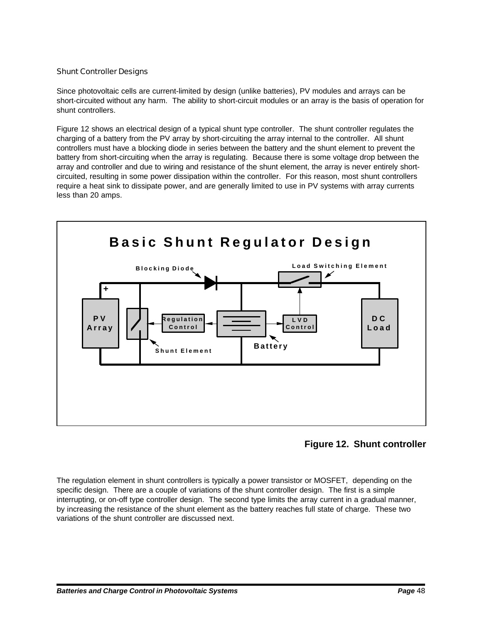### Shunt Controller Designs

Since photovoltaic cells are current-limited by design (unlike batteries), PV modules and arrays can be short-circuited without any harm. The ability to short-circuit modules or an array is the basis of operation for shunt controllers.

Figure 12 shows an electrical design of a typical shunt type controller. The shunt controller regulates the charging of a battery from the PV array by short-circuiting the array internal to the controller. All shunt controllers must have a blocking diode in series between the battery and the shunt element to prevent the battery from short-circuiting when the array is regulating. Because there is some voltage drop between the array and controller and due to wiring and resistance of the shunt element, the array is never entirely shortcircuited, resulting in some power dissipation within the controller. For this reason, most shunt controllers require a heat sink to dissipate power, and are generally limited to use in PV systems with array currents less than 20 amps.



### **Figure 12. Shunt controller**

The regulation element in shunt controllers is typically a power transistor or MOSFET, depending on the specific design. There are a couple of variations of the shunt controller design. The first is a simple interrupting, or on-off type controller design. The second type limits the array current in a gradual manner, by increasing the resistance of the shunt element as the battery reaches full state of charge. These two variations of the shunt controller are discussed next.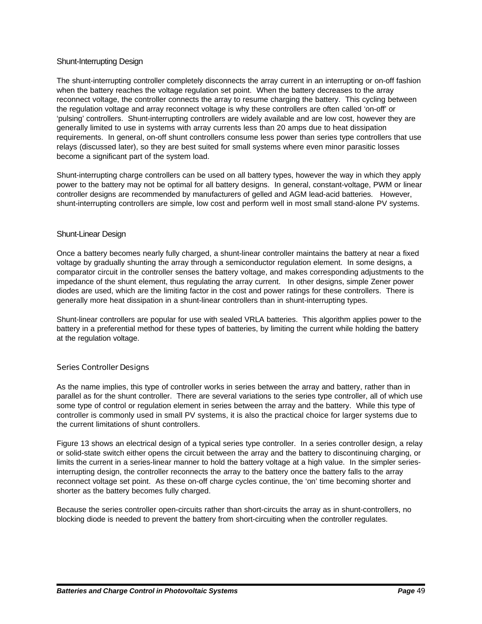### Shunt-Interrupting Design

The shunt-interrupting controller completely disconnects the array current in an interrupting or on-off fashion when the battery reaches the voltage regulation set point. When the battery decreases to the array reconnect voltage, the controller connects the array to resume charging the battery. This cycling between the regulation voltage and array reconnect voltage is why these controllers are often called 'on-off' or 'pulsing' controllers. Shunt-interrupting controllers are widely available and are low cost, however they are generally limited to use in systems with array currents less than 20 amps due to heat dissipation requirements. In general, on-off shunt controllers consume less power than series type controllers that use relays (discussed later), so they are best suited for small systems where even minor parasitic losses become a significant part of the system load.

Shunt-interrupting charge controllers can be used on all battery types, however the way in which they apply power to the battery may not be optimal for all battery designs. In general, constant-voltage, PWM or linear controller designs are recommended by manufacturers of gelled and AGM lead-acid batteries. However, shunt-interrupting controllers are simple, low cost and perform well in most small stand-alone PV systems.

### Shunt-Linear Design

Once a battery becomes nearly fully charged, a shunt-linear controller maintains the battery at near a fixed voltage by gradually shunting the array through a semiconductor regulation element. In some designs, a comparator circuit in the controller senses the battery voltage, and makes corresponding adjustments to the impedance of the shunt element, thus regulating the array current. In other designs, simple Zener power diodes are used, which are the limiting factor in the cost and power ratings for these controllers. There is generally more heat dissipation in a shunt-linear controllers than in shunt-interrupting types.

Shunt-linear controllers are popular for use with sealed VRLA batteries. This algorithm applies power to the battery in a preferential method for these types of batteries, by limiting the current while holding the battery at the regulation voltage.

### Series Controller Designs

As the name implies, this type of controller works in series between the array and battery, rather than in parallel as for the shunt controller. There are several variations to the series type controller, all of which use some type of control or regulation element in series between the array and the battery. While this type of controller is commonly used in small PV systems, it is also the practical choice for larger systems due to the current limitations of shunt controllers.

Figure 13 shows an electrical design of a typical series type controller. In a series controller design, a relay or solid-state switch either opens the circuit between the array and the battery to discontinuing charging, or limits the current in a series-linear manner to hold the battery voltage at a high value. In the simpler seriesinterrupting design, the controller reconnects the array to the battery once the battery falls to the array reconnect voltage set point. As these on-off charge cycles continue, the 'on' time becoming shorter and shorter as the battery becomes fully charged.

Because the series controller open-circuits rather than short-circuits the array as in shunt-controllers, no blocking diode is needed to prevent the battery from short-circuiting when the controller regulates.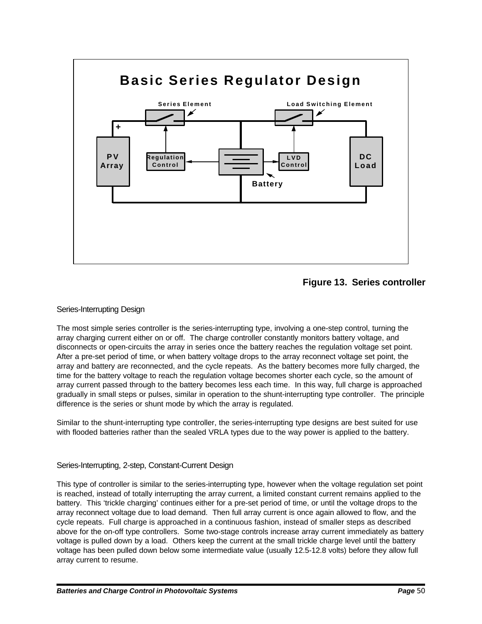

**Figure 13. Series controller**

### Series-Interrupting Design

The most simple series controller is the series-interrupting type, involving a one-step control, turning the array charging current either on or off. The charge controller constantly monitors battery voltage, and disconnects or open-circuits the array in series once the battery reaches the regulation voltage set point. After a pre-set period of time, or when battery voltage drops to the array reconnect voltage set point, the array and battery are reconnected, and the cycle repeats. As the battery becomes more fully charged, the time for the battery voltage to reach the regulation voltage becomes shorter each cycle, so the amount of array current passed through to the battery becomes less each time. In this way, full charge is approached gradually in small steps or pulses, similar in operation to the shunt-interrupting type controller. The principle difference is the series or shunt mode by which the array is regulated.

Similar to the shunt-interrupting type controller, the series-interrupting type designs are best suited for use with flooded batteries rather than the sealed VRLA types due to the way power is applied to the battery.

### Series-Interrupting, 2-step, Constant-Current Design

This type of controller is similar to the series-interrupting type, however when the voltage regulation set point is reached, instead of totally interrupting the array current, a limited constant current remains applied to the battery. This 'trickle charging' continues either for a pre-set period of time, or until the voltage drops to the array reconnect voltage due to load demand. Then full array current is once again allowed to flow, and the cycle repeats. Full charge is approached in a continuous fashion, instead of smaller steps as described above for the on-off type controllers. Some two-stage controls increase array current immediately as battery voltage is pulled down by a load. Others keep the current at the small trickle charge level until the battery voltage has been pulled down below some intermediate value (usually 12.5-12.8 volts) before they allow full array current to resume.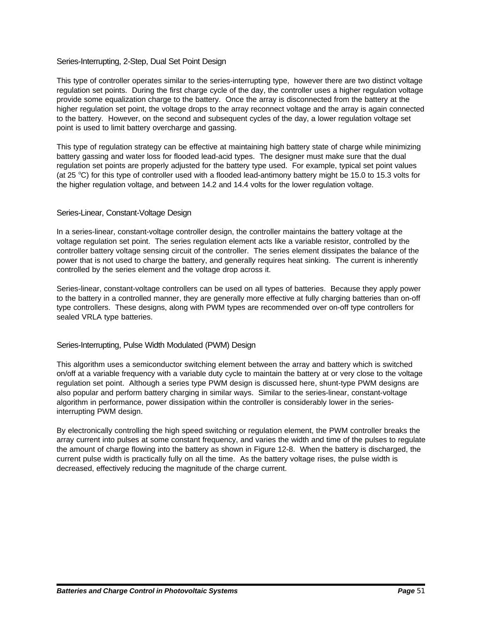### Series-Interrupting, 2-Step, Dual Set Point Design

This type of controller operates similar to the series-interrupting type, however there are two distinct voltage regulation set points. During the first charge cycle of the day, the controller uses a higher regulation voltage provide some equalization charge to the battery. Once the array is disconnected from the battery at the higher regulation set point, the voltage drops to the array reconnect voltage and the array is again connected to the battery. However, on the second and subsequent cycles of the day, a lower regulation voltage set point is used to limit battery overcharge and gassing.

This type of regulation strategy can be effective at maintaining high battery state of charge while minimizing battery gassing and water loss for flooded lead-acid types. The designer must make sure that the dual regulation set points are properly adjusted for the battery type used. For example, typical set point values (at 25  $\degree$ C) for this type of controller used with a flooded lead-antimony battery might be 15.0 to 15.3 volts for the higher regulation voltage, and between 14.2 and 14.4 volts for the lower regulation voltage.

### Series-Linear, Constant-Voltage Design

In a series-linear, constant-voltage controller design, the controller maintains the battery voltage at the voltage regulation set point. The series regulation element acts like a variable resistor, controlled by the controller battery voltage sensing circuit of the controller. The series element dissipates the balance of the power that is not used to charge the battery, and generally requires heat sinking. The current is inherently controlled by the series element and the voltage drop across it.

Series-linear, constant-voltage controllers can be used on all types of batteries. Because they apply power to the battery in a controlled manner, they are generally more effective at fully charging batteries than on-off type controllers. These designs, along with PWM types are recommended over on-off type controllers for sealed VRLA type batteries.

### Series-Interrupting, Pulse Width Modulated (PWM) Design

This algorithm uses a semiconductor switching element between the array and battery which is switched on/off at a variable frequency with a variable duty cycle to maintain the battery at or very close to the voltage regulation set point. Although a series type PWM design is discussed here, shunt-type PWM designs are also popular and perform battery charging in similar ways. Similar to the series-linear, constant-voltage algorithm in performance, power dissipation within the controller is considerably lower in the seriesinterrupting PWM design.

By electronically controlling the high speed switching or regulation element, the PWM controller breaks the array current into pulses at some constant frequency, and varies the width and time of the pulses to regulate the amount of charge flowing into the battery as shown in Figure 12-8. When the battery is discharged, the current pulse width is practically fully on all the time. As the battery voltage rises, the pulse width is decreased, effectively reducing the magnitude of the charge current.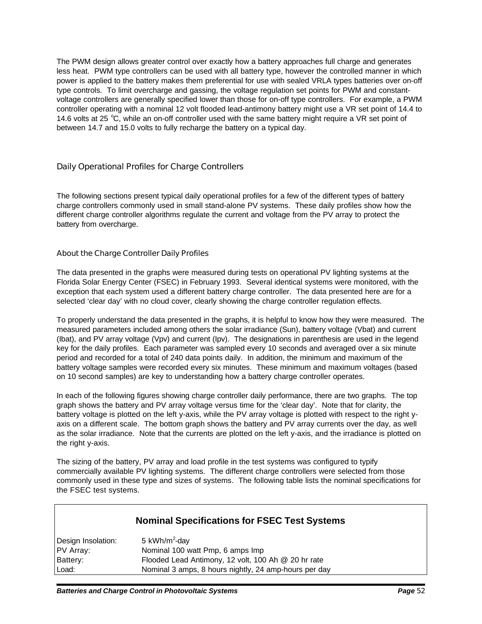The PWM design allows greater control over exactly how a battery approaches full charge and generates less heat. PWM type controllers can be used with all battery type, however the controlled manner in which power is applied to the battery makes them preferential for use with sealed VRLA types batteries over on-off type controls. To limit overcharge and gassing, the voltage regulation set points for PWM and constantvoltage controllers are generally specified lower than those for on-off type controllers. For example, a PWM controller operating with a nominal 12 volt flooded lead-antimony battery might use a VR set point of 14.4 to 14.6 volts at 25 °C, while an on-off controller used with the same battery might require a VR set point of between 14.7 and 15.0 volts to fully recharge the battery on a typical day.

### Daily Operational Profiles for Charge Controllers

The following sections present typical daily operational profiles for a few of the different types of battery charge controllers commonly used in small stand-alone PV systems. These daily profiles show how the different charge controller algorithms regulate the current and voltage from the PV array to protect the battery from overcharge.

### About the Charge Controller Daily Profiles

The data presented in the graphs were measured during tests on operational PV lighting systems at the Florida Solar Energy Center (FSEC) in February 1993. Several identical systems were monitored, with the exception that each system used a different battery charge controller. The data presented here are for a selected 'clear day' with no cloud cover, clearly showing the charge controller regulation effects.

To properly understand the data presented in the graphs, it is helpful to know how they were measured. The measured parameters included among others the solar irradiance (Sun), battery voltage (Vbat) and current (Ibat), and PV array voltage (Vpv) and current (Ipv). The designations in parenthesis are used in the legend key for the daily profiles. Each parameter was sampled every 10 seconds and averaged over a six minute period and recorded for a total of 240 data points daily. In addition, the minimum and maximum of the battery voltage samples were recorded every six minutes. These minimum and maximum voltages (based on 10 second samples) are key to understanding how a battery charge controller operates.

In each of the following figures showing charge controller daily performance, there are two graphs. The top graph shows the battery and PV array voltage versus time for the 'clear day'. Note that for clarity, the battery voltage is plotted on the left y-axis, while the PV array voltage is plotted with respect to the right yaxis on a different scale. The bottom graph shows the battery and PV array currents over the day, as well as the solar irradiance. Note that the currents are plotted on the left y-axis, and the irradiance is plotted on the right y-axis.

The sizing of the battery, PV array and load profile in the test systems was configured to typify commercially available PV lighting systems. The different charge controllers were selected from those commonly used in these type and sizes of systems. The following table lists the nominal specifications for the FSEC test systems.

|                    | <b>Nominal Specifications for FSEC Test Systems</b>   |
|--------------------|-------------------------------------------------------|
| Design Insolation: | 5 kWh/m <sup>2</sup> -day                             |
| PV Array:          | Nominal 100 watt Pmp, 6 amps Imp                      |
| Battery:           | Flooded Lead Antimony, 12 volt, 100 Ah @ 20 hr rate   |
| Load:              | Nominal 3 amps, 8 hours nightly, 24 amp-hours per day |
|                    |                                                       |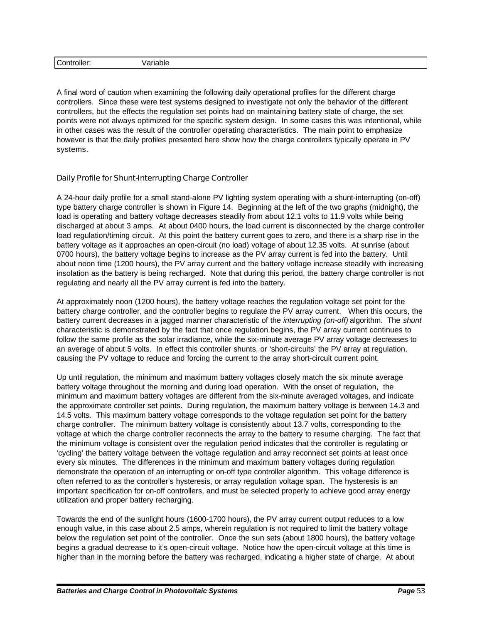| ⌒<br>√or'<br>roller: | .<br>. .<br>. |  |  |  |
|----------------------|---------------|--|--|--|
|----------------------|---------------|--|--|--|

A final word of caution when examining the following daily operational profiles for the different charge controllers. Since these were test systems designed to investigate not only the behavior of the different controllers, but the effects the regulation set points had on maintaining battery state of charge, the set points were not always optimized for the specific system design. In some cases this was intentional, while in other cases was the result of the controller operating characteristics. The main point to emphasize however is that the daily profiles presented here show how the charge controllers typically operate in PV systems.

### Daily Profile for Shunt-Interrupting Charge Controller

A 24-hour daily profile for a small stand-alone PV lighting system operating with a shunt-interrupting (on-off) type battery charge controller is shown in Figure 14. Beginning at the left of the two graphs (midnight), the load is operating and battery voltage decreases steadily from about 12.1 volts to 11.9 volts while being discharged at about 3 amps. At about 0400 hours, the load current is disconnected by the charge controller load regulation/timing circuit. At this point the battery current goes to zero, and there is a sharp rise in the battery voltage as it approaches an open-circuit (no load) voltage of about 12.35 volts. At sunrise (about 0700 hours), the battery voltage begins to increase as the PV array current is fed into the battery. Until about noon time (1200 hours), the PV array current and the battery voltage increase steadily with increasing insolation as the battery is being recharged. Note that during this period, the battery charge controller is not regulating and nearly all the PV array current is fed into the battery.

At approximately noon (1200 hours), the battery voltage reaches the regulation voltage set point for the battery charge controller, and the controller begins to regulate the PV array current. When this occurs, the battery current decreases in a jagged manner characteristic of the *interrupting (on-off)* algorithm. The *shunt* characteristic is demonstrated by the fact that once regulation begins, the PV array current continues to follow the same profile as the solar irradiance, while the six-minute average PV array voltage decreases to an average of about 5 volts. In effect this controller shunts, or 'short-circuits' the PV array at regulation, causing the PV voltage to reduce and forcing the current to the array short-circuit current point.

Up until regulation, the minimum and maximum battery voltages closely match the six minute average battery voltage throughout the morning and during load operation. With the onset of regulation, the minimum and maximum battery voltages are different from the six-minute averaged voltages, and indicate the approximate controller set points. During regulation, the maximum battery voltage is between 14.3 and 14.5 volts. This maximum battery voltage corresponds to the voltage regulation set point for the battery charge controller. The minimum battery voltage is consistently about 13.7 volts, corresponding to the voltage at which the charge controller reconnects the array to the battery to resume charging. The fact that the minimum voltage is consistent over the regulation period indicates that the controller is regulating or 'cycling' the battery voltage between the voltage regulation and array reconnect set points at least once every six minutes. The differences in the minimum and maximum battery voltages during regulation demonstrate the operation of an interrupting or on-off type controller algorithm. This voltage difference is often referred to as the controller's hysteresis, or array regulation voltage span. The hysteresis is an important specification for on-off controllers, and must be selected properly to achieve good array energy utilization and proper battery recharging.

Towards the end of the sunlight hours (1600-1700 hours), the PV array current output reduces to a low enough value, in this case about 2.5 amps, wherein regulation is not required to limit the battery voltage below the regulation set point of the controller. Once the sun sets (about 1800 hours), the battery voltage begins a gradual decrease to it's open-circuit voltage. Notice how the open-circuit voltage at this time is higher than in the morning before the battery was recharged, indicating a higher state of charge. At about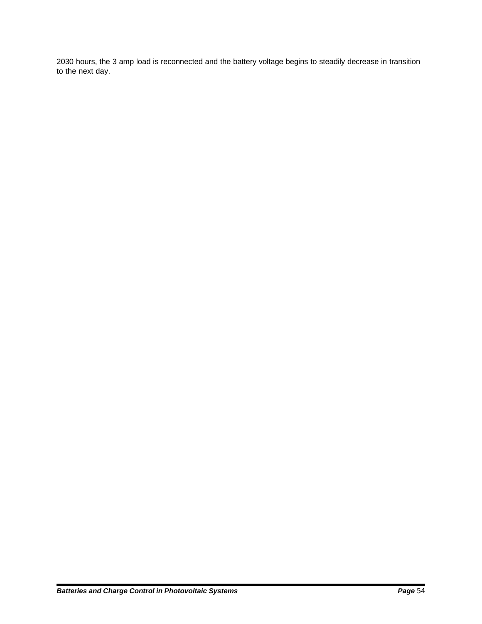2030 hours, the 3 amp load is reconnected and the battery voltage begins to steadily decrease in transition to the next day.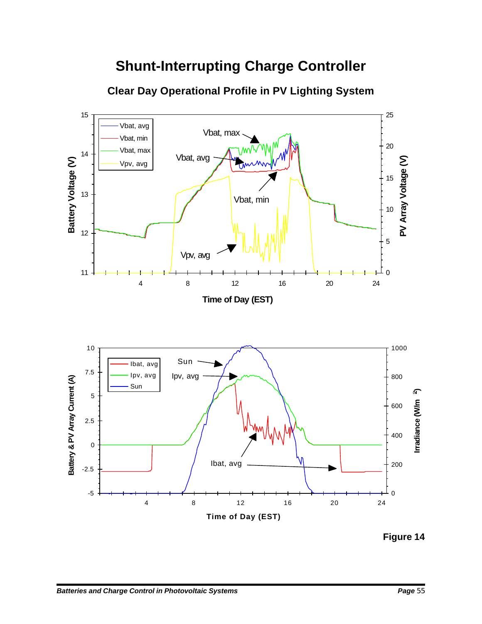# **Shunt-Interrupting Charge Controller**



**Clear Day Operational Profile in PV Lighting System**

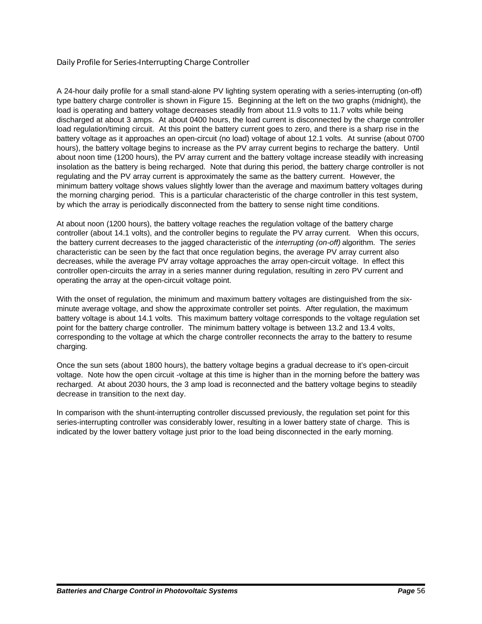### Daily Profile for Series-Interrupting Charge Controller

A 24-hour daily profile for a small stand-alone PV lighting system operating with a series-interrupting (on-off) type battery charge controller is shown in Figure 15. Beginning at the left on the two graphs (midnight), the load is operating and battery voltage decreases steadily from about 11.9 volts to 11.7 volts while being discharged at about 3 amps. At about 0400 hours, the load current is disconnected by the charge controller load regulation/timing circuit. At this point the battery current goes to zero, and there is a sharp rise in the battery voltage as it approaches an open-circuit (no load) voltage of about 12.1 volts. At sunrise (about 0700 hours), the battery voltage begins to increase as the PV array current begins to recharge the battery. Until about noon time (1200 hours), the PV array current and the battery voltage increase steadily with increasing insolation as the battery is being recharged. Note that during this period, the battery charge controller is not regulating and the PV array current is approximately the same as the battery current. However, the minimum battery voltage shows values slightly lower than the average and maximum battery voltages during the morning charging period. This is a particular characteristic of the charge controller in this test system, by which the array is periodically disconnected from the battery to sense night time conditions.

At about noon (1200 hours), the battery voltage reaches the regulation voltage of the battery charge controller (about 14.1 volts), and the controller begins to regulate the PV array current. When this occurs, the battery current decreases to the jagged characteristic of the *interrupting (on-off)* algorithm. The *series* characteristic can be seen by the fact that once regulation begins, the average PV array current also decreases, while the average PV array voltage approaches the array open-circuit voltage. In effect this controller open-circuits the array in a series manner during regulation, resulting in zero PV current and operating the array at the open-circuit voltage point.

With the onset of regulation, the minimum and maximum battery voltages are distinguished from the sixminute average voltage, and show the approximate controller set points. After regulation, the maximum battery voltage is about 14.1 volts. This maximum battery voltage corresponds to the voltage regulation set point for the battery charge controller. The minimum battery voltage is between 13.2 and 13.4 volts, corresponding to the voltage at which the charge controller reconnects the array to the battery to resume charging.

Once the sun sets (about 1800 hours), the battery voltage begins a gradual decrease to it's open-circuit voltage. Note how the open circuit -voltage at this time is higher than in the morning before the battery was recharged. At about 2030 hours, the 3 amp load is reconnected and the battery voltage begins to steadily decrease in transition to the next day.

In comparison with the shunt-interrupting controller discussed previously, the regulation set point for this series-interrupting controller was considerably lower, resulting in a lower battery state of charge. This is indicated by the lower battery voltage just prior to the load being disconnected in the early morning.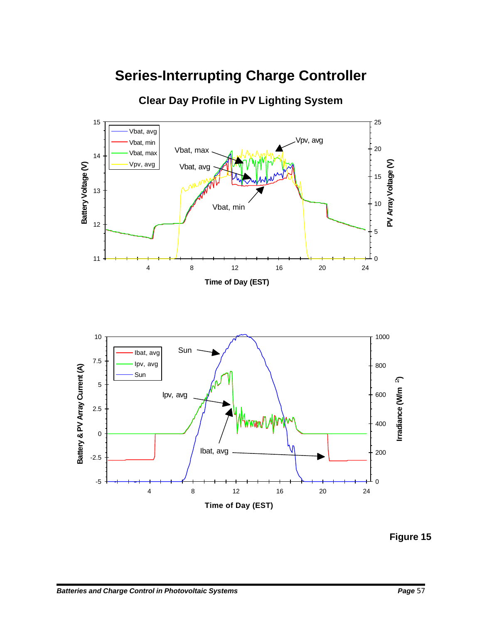# **Series-Interrupting Charge Controller**



**Clear Day Profile in PV Lighting System**

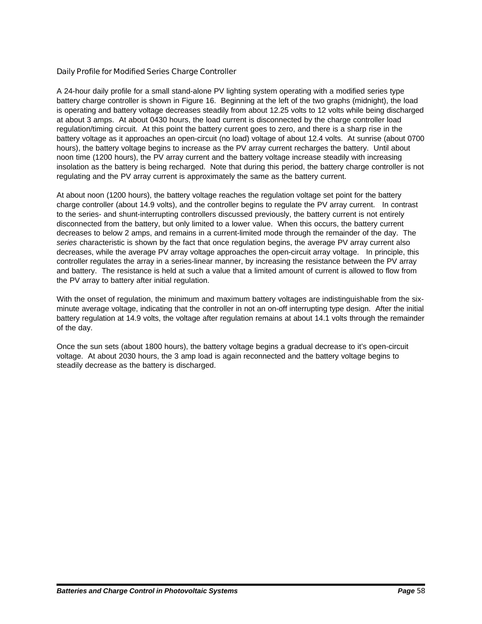### Daily Profile for Modified Series Charge Controller

A 24-hour daily profile for a small stand-alone PV lighting system operating with a modified series type battery charge controller is shown in Figure 16. Beginning at the left of the two graphs (midnight), the load is operating and battery voltage decreases steadily from about 12.25 volts to 12 volts while being discharged at about 3 amps. At about 0430 hours, the load current is disconnected by the charge controller load regulation/timing circuit. At this point the battery current goes to zero, and there is a sharp rise in the battery voltage as it approaches an open-circuit (no load) voltage of about 12.4 volts. At sunrise (about 0700 hours), the battery voltage begins to increase as the PV array current recharges the battery. Until about noon time (1200 hours), the PV array current and the battery voltage increase steadily with increasing insolation as the battery is being recharged. Note that during this period, the battery charge controller is not regulating and the PV array current is approximately the same as the battery current.

At about noon (1200 hours), the battery voltage reaches the regulation voltage set point for the battery charge controller (about 14.9 volts), and the controller begins to regulate the PV array current. In contrast to the series- and shunt-interrupting controllers discussed previously, the battery current is not entirely disconnected from the battery, but only limited to a lower value. When this occurs, the battery current decreases to below 2 amps, and remains in a current-limited mode through the remainder of the day. The *series* characteristic is shown by the fact that once regulation begins, the average PV array current also decreases, while the average PV array voltage approaches the open-circuit array voltage. In principle, this controller regulates the array in a series-linear manner, by increasing the resistance between the PV array and battery. The resistance is held at such a value that a limited amount of current is allowed to flow from the PV array to battery after initial regulation.

With the onset of regulation, the minimum and maximum battery voltages are indistinguishable from the sixminute average voltage, indicating that the controller in not an on-off interrupting type design. After the initial battery regulation at 14.9 volts, the voltage after regulation remains at about 14.1 volts through the remainder of the day.

Once the sun sets (about 1800 hours), the battery voltage begins a gradual decrease to it's open-circuit voltage. At about 2030 hours, the 3 amp load is again reconnected and the battery voltage begins to steadily decrease as the battery is discharged.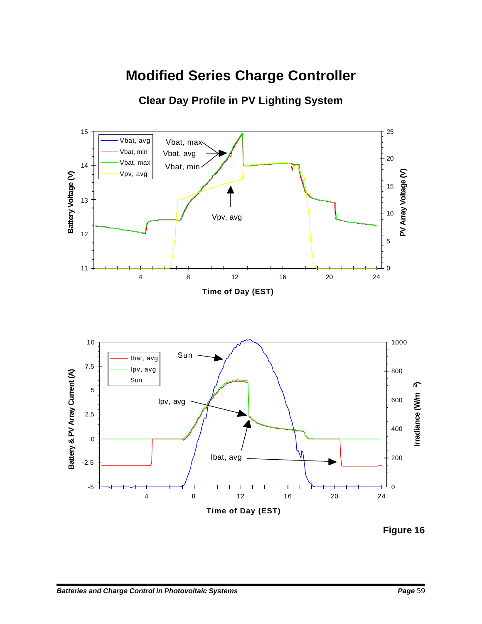# **Modified Series Charge Controller**



**Clear Day Profile in PV Lighting System**

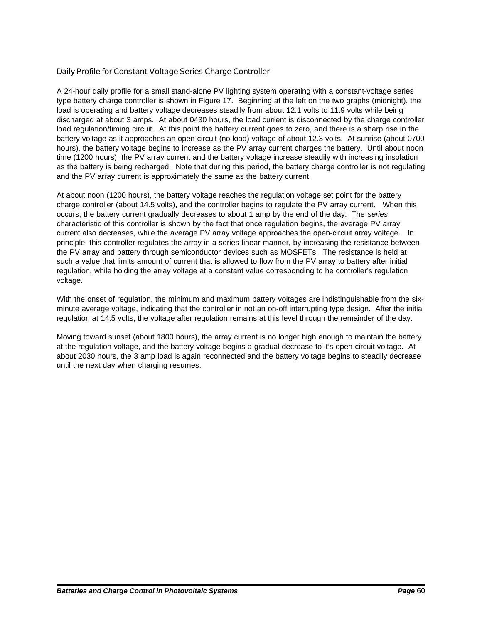### Daily Profile for Constant-Voltage Series Charge Controller

A 24-hour daily profile for a small stand-alone PV lighting system operating with a constant-voltage series type battery charge controller is shown in Figure 17. Beginning at the left on the two graphs (midnight), the load is operating and battery voltage decreases steadily from about 12.1 volts to 11.9 volts while being discharged at about 3 amps. At about 0430 hours, the load current is disconnected by the charge controller load regulation/timing circuit. At this point the battery current goes to zero, and there is a sharp rise in the battery voltage as it approaches an open-circuit (no load) voltage of about 12.3 volts. At sunrise (about 0700 hours), the battery voltage begins to increase as the PV array current charges the battery. Until about noon time (1200 hours), the PV array current and the battery voltage increase steadily with increasing insolation as the battery is being recharged. Note that during this period, the battery charge controller is not regulating and the PV array current is approximately the same as the battery current.

At about noon (1200 hours), the battery voltage reaches the regulation voltage set point for the battery charge controller (about 14.5 volts), and the controller begins to regulate the PV array current. When this occurs, the battery current gradually decreases to about 1 amp by the end of the day. The *series* characteristic of this controller is shown by the fact that once regulation begins, the average PV array current also decreases, while the average PV array voltage approaches the open-circuit array voltage. In principle, this controller regulates the array in a series-linear manner, by increasing the resistance between the PV array and battery through semiconductor devices such as MOSFETs. The resistance is held at such a value that limits amount of current that is allowed to flow from the PV array to battery after initial regulation, while holding the array voltage at a constant value corresponding to he controller's regulation voltage.

With the onset of regulation, the minimum and maximum battery voltages are indistinguishable from the sixminute average voltage, indicating that the controller in not an on-off interrupting type design. After the initial regulation at 14.5 volts, the voltage after regulation remains at this level through the remainder of the day.

Moving toward sunset (about 1800 hours), the array current is no longer high enough to maintain the battery at the regulation voltage, and the battery voltage begins a gradual decrease to it's open-circuit voltage. At about 2030 hours, the 3 amp load is again reconnected and the battery voltage begins to steadily decrease until the next day when charging resumes.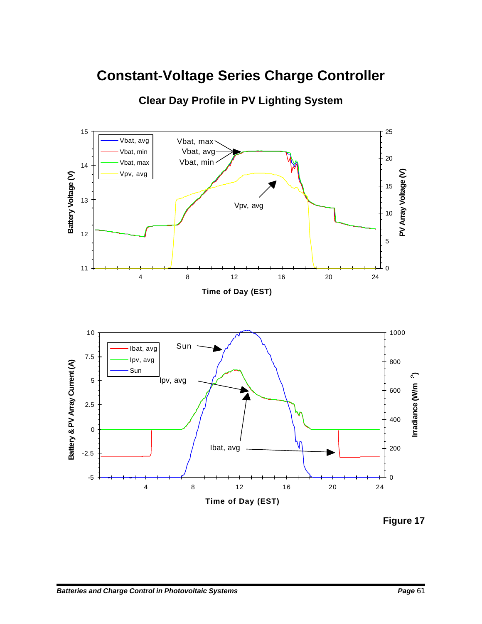# **Constant-Voltage Series Charge Controller**



**Clear Day Profile in PV Lighting System**

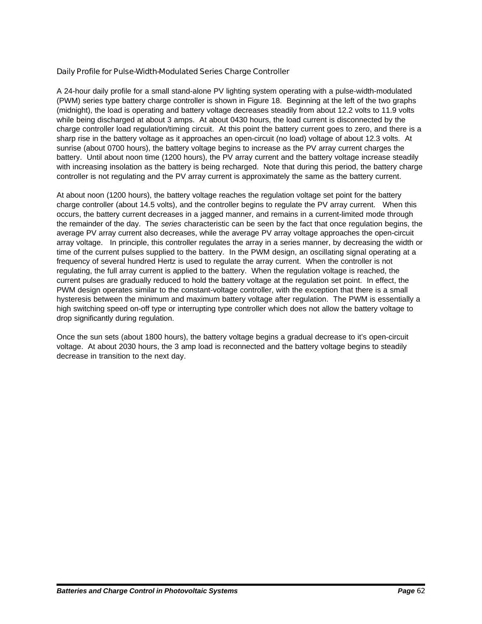### Daily Profile for Pulse-Width-Modulated Series Charge Controller

A 24-hour daily profile for a small stand-alone PV lighting system operating with a pulse-width-modulated (PWM) series type battery charge controller is shown in Figure 18. Beginning at the left of the two graphs (midnight), the load is operating and battery voltage decreases steadily from about 12.2 volts to 11.9 volts while being discharged at about 3 amps. At about 0430 hours, the load current is disconnected by the charge controller load regulation/timing circuit. At this point the battery current goes to zero, and there is a sharp rise in the battery voltage as it approaches an open-circuit (no load) voltage of about 12.3 volts. At sunrise (about 0700 hours), the battery voltage begins to increase as the PV array current charges the battery. Until about noon time (1200 hours), the PV array current and the battery voltage increase steadily with increasing insolation as the battery is being recharged. Note that during this period, the battery charge controller is not regulating and the PV array current is approximately the same as the battery current.

At about noon (1200 hours), the battery voltage reaches the regulation voltage set point for the battery charge controller (about 14.5 volts), and the controller begins to regulate the PV array current. When this occurs, the battery current decreases in a jagged manner, and remains in a current-limited mode through the remainder of the day. The *series* characteristic can be seen by the fact that once regulation begins, the average PV array current also decreases, while the average PV array voltage approaches the open-circuit array voltage. In principle, this controller regulates the array in a series manner, by decreasing the width or time of the current pulses supplied to the battery. In the PWM design, an oscillating signal operating at a frequency of several hundred Hertz is used to regulate the array current. When the controller is not regulating, the full array current is applied to the battery. When the regulation voltage is reached, the current pulses are gradually reduced to hold the battery voltage at the regulation set point. In effect, the PWM design operates similar to the constant-voltage controller, with the exception that there is a small hysteresis between the minimum and maximum battery voltage after regulation. The PWM is essentially a high switching speed on-off type or interrupting type controller which does not allow the battery voltage to drop significantly during regulation.

Once the sun sets (about 1800 hours), the battery voltage begins a gradual decrease to it's open-circuit voltage. At about 2030 hours, the 3 amp load is reconnected and the battery voltage begins to steadily decrease in transition to the next day.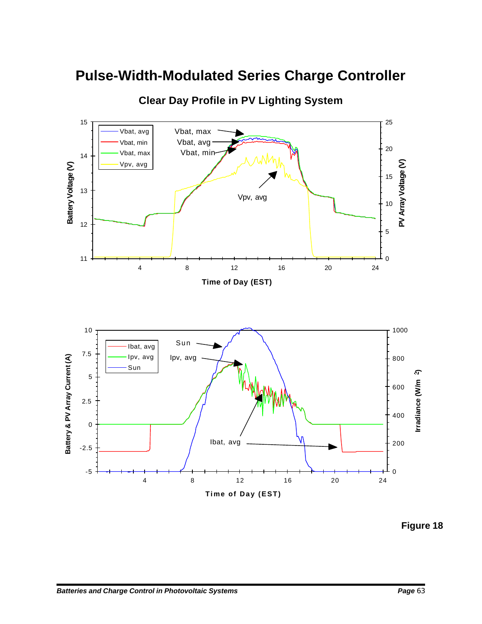## **Pulse-Width-Modulated Series Charge Controller**



**Clear Day Profile in PV Lighting System**

**Figure 18**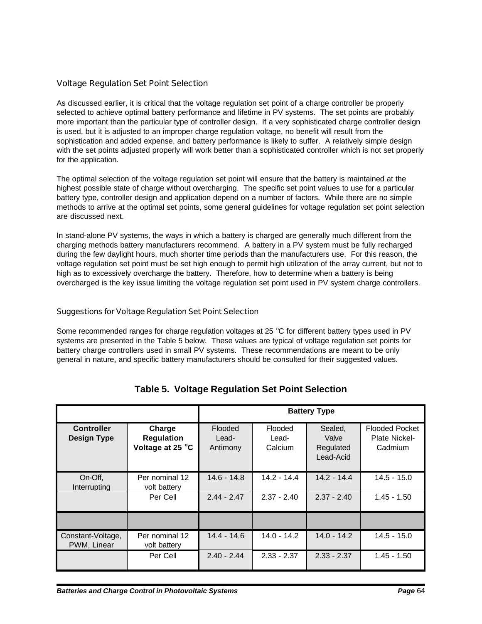### Voltage Regulation Set Point Selection

As discussed earlier, it is critical that the voltage regulation set point of a charge controller be properly selected to achieve optimal battery performance and lifetime in PV systems. The set points are probably more important than the particular type of controller design. If a very sophisticated charge controller design is used, but it is adjusted to an improper charge regulation voltage, no benefit will result from the sophistication and added expense, and battery performance is likely to suffer. A relatively simple design with the set points adjusted properly will work better than a sophisticated controller which is not set properly for the application.

The optimal selection of the voltage regulation set point will ensure that the battery is maintained at the highest possible state of charge without overcharging. The specific set point values to use for a particular battery type, controller design and application depend on a number of factors. While there are no simple methods to arrive at the optimal set points, some general guidelines for voltage regulation set point selection are discussed next.

In stand-alone PV systems, the ways in which a battery is charged are generally much different from the charging methods battery manufacturers recommend. A battery in a PV system must be fully recharged during the few daylight hours, much shorter time periods than the manufacturers use. For this reason, the voltage regulation set point must be set high enough to permit high utilization of the array current, but not to high as to excessively overcharge the battery. Therefore, how to determine when a battery is being overcharged is the key issue limiting the voltage regulation set point used in PV system charge controllers.

### Suggestions for Voltage Regulation Set Point Selection

Some recommended ranges for charge regulation voltages at 25 °C for different battery types used in PV systems are presented in the Table 5 below. These values are typical of voltage regulation set points for battery charge controllers used in small PV systems. These recommendations are meant to be only general in nature, and specific battery manufacturers should be consulted for their suggested values.

|                                         |                                                 | <b>Battery Type</b>          |                             |                                            |                                                   |
|-----------------------------------------|-------------------------------------------------|------------------------------|-----------------------------|--------------------------------------------|---------------------------------------------------|
| <b>Controller</b><br><b>Design Type</b> | Charge<br><b>Regulation</b><br>Voltage at 25 °C | Flooded<br>Lead-<br>Antimony | Flooded<br>Lead-<br>Calcium | Sealed,<br>Valve<br>Regulated<br>Lead-Acid | <b>Flooded Pocket</b><br>Plate Nickel-<br>Cadmium |
| On-Off.<br>Interrupting                 | Per nominal 12<br>volt battery                  | $14.6 - 14.8$                | $14.2 - 14.4$               | $14.2 - 14.4$                              | 14.5 - 15.0                                       |
|                                         | Per Cell                                        | $2.44 - 2.47$                | $2.37 - 2.40$               | $2.37 - 2.40$                              | $1.45 - 1.50$                                     |
|                                         |                                                 |                              |                             |                                            |                                                   |
| Constant-Voltage,<br>PWM, Linear        | Per nominal 12<br>volt battery                  | $14.4 - 14.6$                | $14.0 - 14.2$               | $14.0 - 14.2$                              | $14.5 - 15.0$                                     |
|                                         | Per Cell                                        | $2.40 - 2.44$                | $2.33 - 2.37$               | $2.33 - 2.37$                              | $1.45 - 1.50$                                     |

|  | Table 5. Voltage Regulation Set Point Selection |
|--|-------------------------------------------------|
|--|-------------------------------------------------|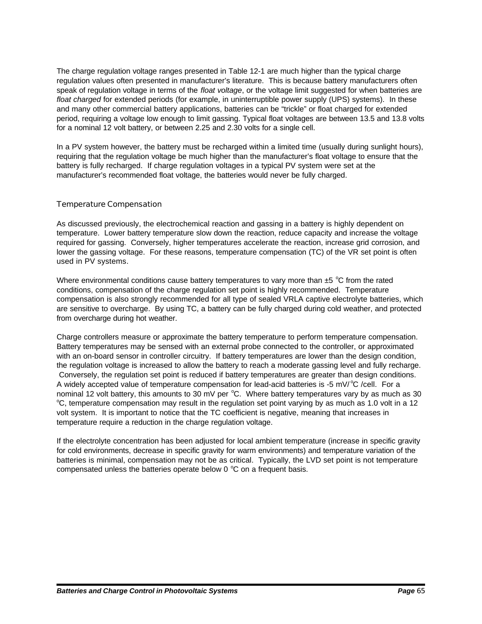The charge regulation voltage ranges presented in Table 12-1 are much higher than the typical charge regulation values often presented in manufacturer's literature. This is because battery manufacturers often speak of regulation voltage in terms of the *float voltage*, or the voltage limit suggested for when batteries are *float charged* for extended periods (for example, in uninterruptible power supply (UPS) systems). In these and many other commercial battery applications, batteries can be "trickle" or float charged for extended period, requiring a voltage low enough to limit gassing. Typical float voltages are between 13.5 and 13.8 volts for a nominal 12 volt battery, or between 2.25 and 2.30 volts for a single cell.

In a PV system however, the battery must be recharged within a limited time (usually during sunlight hours), requiring that the regulation voltage be much higher than the manufacturer's float voltage to ensure that the battery is fully recharged. If charge regulation voltages in a typical PV system were set at the manufacturer's recommended float voltage, the batteries would never be fully charged.

### Temperature Compensation

As discussed previously, the electrochemical reaction and gassing in a battery is highly dependent on temperature. Lower battery temperature slow down the reaction, reduce capacity and increase the voltage required for gassing. Conversely, higher temperatures accelerate the reaction, increase grid corrosion, and lower the gassing voltage. For these reasons, temperature compensation (TC) of the VR set point is often used in PV systems.

Where environmental conditions cause battery temperatures to vary more than  $\pm 5$  °C from the rated conditions, compensation of the charge regulation set point is highly recommended. Temperature compensation is also strongly recommended for all type of sealed VRLA captive electrolyte batteries, which are sensitive to overcharge. By using TC, a battery can be fully charged during cold weather, and protected from overcharge during hot weather.

Charge controllers measure or approximate the battery temperature to perform temperature compensation. Battery temperatures may be sensed with an external probe connected to the controller, or approximated with an on-board sensor in controller circuitry. If battery temperatures are lower than the design condition, the regulation voltage is increased to allow the battery to reach a moderate gassing level and fully recharge. Conversely, the regulation set point is reduced if battery temperatures are greater than design conditions. A widely accepted value of temperature compensation for lead-acid batteries is -5 mV/ $\degree$ C /cell. For a nominal 12 volt battery, this amounts to 30 mV per  $^{\circ}$ C. Where battery temperatures vary by as much as 30 <sup>o</sup>C, temperature compensation may result in the regulation set point varying by as much as 1.0 volt in a 12 volt system. It is important to notice that the TC coefficient is negative, meaning that increases in temperature require a reduction in the charge regulation voltage.

If the electrolyte concentration has been adjusted for local ambient temperature (increase in specific gravity for cold environments, decrease in specific gravity for warm environments) and temperature variation of the batteries is minimal, compensation may not be as critical. Typically, the LVD set point is not temperature compensated unless the batteries operate below  $0^{\circ}$ C on a frequent basis.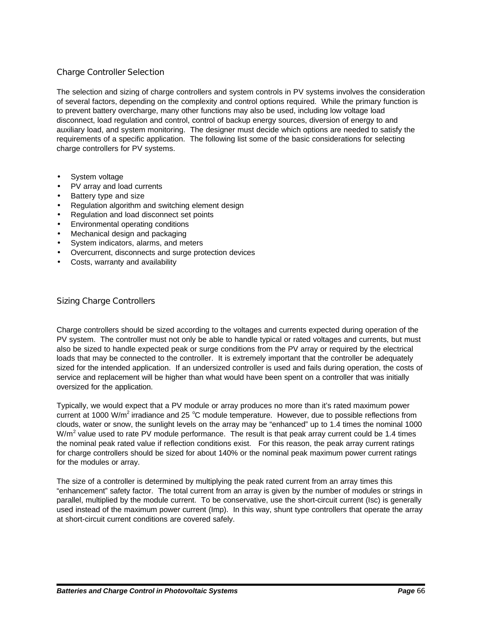### Charge Controller Selection

The selection and sizing of charge controllers and system controls in PV systems involves the consideration of several factors, depending on the complexity and control options required. While the primary function is to prevent battery overcharge, many other functions may also be used, including low voltage load disconnect, load regulation and control, control of backup energy sources, diversion of energy to and auxiliary load, and system monitoring. The designer must decide which options are needed to satisfy the requirements of a specific application. The following list some of the basic considerations for selecting charge controllers for PV systems.

- System voltage
- PV array and load currents
- Battery type and size
- Regulation algorithm and switching element design
- Regulation and load disconnect set points
- Environmental operating conditions
- Mechanical design and packaging
- System indicators, alarms, and meters
- Overcurrent, disconnects and surge protection devices
- Costs, warranty and availability

Sizing Charge Controllers

Charge controllers should be sized according to the voltages and currents expected during operation of the PV system. The controller must not only be able to handle typical or rated voltages and currents, but must also be sized to handle expected peak or surge conditions from the PV array or required by the electrical loads that may be connected to the controller. It is extremely important that the controller be adequately sized for the intended application. If an undersized controller is used and fails during operation, the costs of service and replacement will be higher than what would have been spent on a controller that was initially oversized for the application.

Typically, we would expect that a PV module or array produces no more than it's rated maximum power current at 1000 W/m<sup>2</sup> irradiance and 25 °C module temperature. However, due to possible reflections from clouds, water or snow, the sunlight levels on the array may be "enhanced" up to 1.4 times the nominal 1000 W/m<sup>2</sup> value used to rate PV module performance. The result is that peak array current could be 1.4 times the nominal peak rated value if reflection conditions exist. For this reason, the peak array current ratings for charge controllers should be sized for about 140% or the nominal peak maximum power current ratings for the modules or array.

The size of a controller is determined by multiplying the peak rated current from an array times this "enhancement" safety factor. The total current from an array is given by the number of modules or strings in parallel, multiplied by the module current. To be conservative, use the short-circuit current (Isc) is generally used instead of the maximum power current (Imp). In this way, shunt type controllers that operate the array at short-circuit current conditions are covered safely.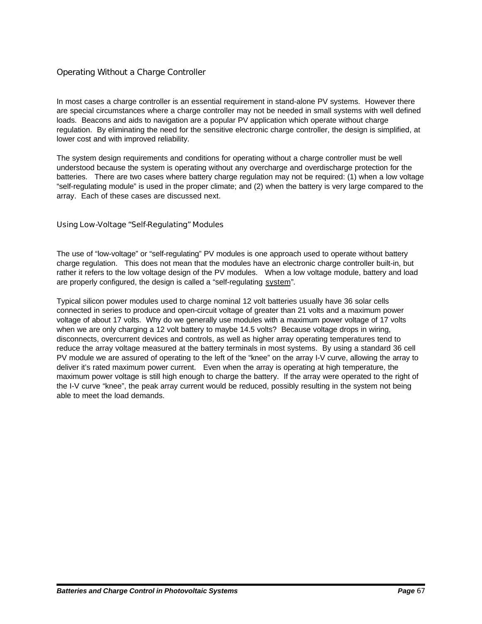### Operating Without a Charge Controller

In most cases a charge controller is an essential requirement in stand-alone PV systems. However there are special circumstances where a charge controller may not be needed in small systems with well defined loads. Beacons and aids to navigation are a popular PV application which operate without charge regulation. By eliminating the need for the sensitive electronic charge controller, the design is simplified, at lower cost and with improved reliability.

The system design requirements and conditions for operating without a charge controller must be well understood because the system is operating without any overcharge and overdischarge protection for the batteries. There are two cases where battery charge regulation may not be required: (1) when a low voltage "self-regulating module" is used in the proper climate; and (2) when the battery is very large compared to the array. Each of these cases are discussed next.

### Using Low-Voltage "Self-Regulating" Modules

The use of "low-voltage" or "self-regulating" PV modules is one approach used to operate without battery charge regulation. This does not mean that the modules have an electronic charge controller built-in, but rather it refers to the low voltage design of the PV modules. When a low voltage module, battery and load are properly configured, the design is called a "self-regulating system".

Typical silicon power modules used to charge nominal 12 volt batteries usually have 36 solar cells connected in series to produce and open-circuit voltage of greater than 21 volts and a maximum power voltage of about 17 volts. Why do we generally use modules with a maximum power voltage of 17 volts when we are only charging a 12 volt battery to maybe 14.5 volts? Because voltage drops in wiring, disconnects, overcurrent devices and controls, as well as higher array operating temperatures tend to reduce the array voltage measured at the battery terminals in most systems. By using a standard 36 cell PV module we are assured of operating to the left of the "knee" on the array I-V curve, allowing the array to deliver it's rated maximum power current. Even when the array is operating at high temperature, the maximum power voltage is still high enough to charge the battery. If the array were operated to the right of the I-V curve "knee", the peak array current would be reduced, possibly resulting in the system not being able to meet the load demands.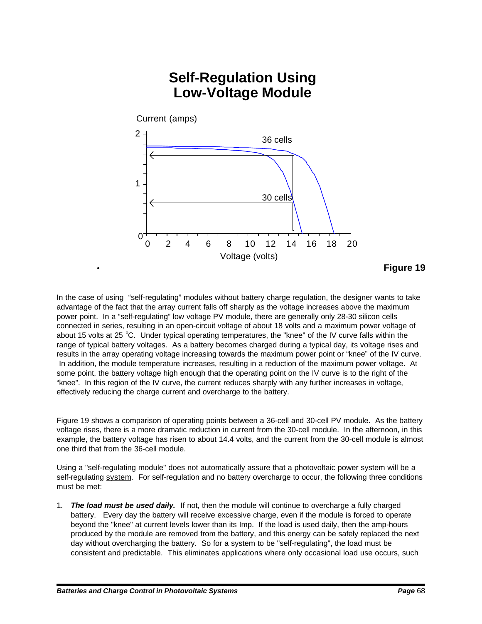

**Figure 19**

In the case of using "self-regulating" modules without battery charge regulation, the designer wants to take advantage of the fact that the array current falls off sharply as the voltage increases above the maximum power point. In a "self-regulating" low voltage PV module, there are generally only 28-30 silicon cells connected in series, resulting in an open-circuit voltage of about 18 volts and a maximum power voltage of about 15 volts at 25  $^{\circ}$ C. Under typical operating temperatures, the "knee" of the IV curve falls within the range of typical battery voltages. As a battery becomes charged during a typical day, its voltage rises and results in the array operating voltage increasing towards the maximum power point or "knee" of the IV curve. In addition, the module temperature increases, resulting in a reduction of the maximum power voltage. At some point, the battery voltage high enough that the operating point on the IV curve is to the right of the "knee". In this region of the IV curve, the current reduces sharply with any further increases in voltage, effectively reducing the charge current and overcharge to the battery.

Figure 19 shows a comparison of operating points between a 36-cell and 30-cell PV module. As the battery voltage rises, there is a more dramatic reduction in current from the 30-cell module. In the afternoon, in this example, the battery voltage has risen to about 14.4 volts, and the current from the 30-cell module is almost one third that from the 36-cell module.

Using a "self-regulating module" does not automatically assure that a photovoltaic power system will be a self-regulating system. For self-regulation and no battery overcharge to occur, the following three conditions must be met:

1. *The load must be used daily.* If not, then the module will continue to overcharge a fully charged battery. Every day the battery will receive excessive charge, even if the module is forced to operate beyond the "knee" at current levels lower than its Imp. If the load is used daily, then the amp-hours produced by the module are removed from the battery, and this energy can be safely replaced the next day without overcharging the battery. So for a system to be "self-regulating", the load must be consistent and predictable. This eliminates applications where only occasional load use occurs, such

•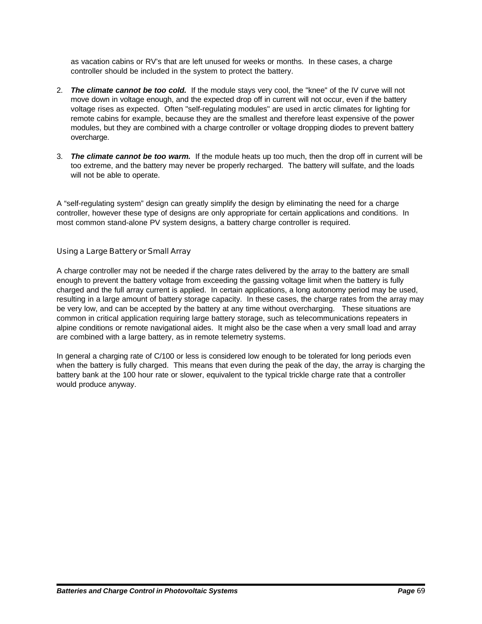as vacation cabins or RV's that are left unused for weeks or months. In these cases, a charge controller should be included in the system to protect the battery.

- 2. *The climate cannot be too cold.* If the module stays very cool, the "knee" of the IV curve will not move down in voltage enough, and the expected drop off in current will not occur, even if the battery voltage rises as expected. Often "self-regulating modules" are used in arctic climates for lighting for remote cabins for example, because they are the smallest and therefore least expensive of the power modules, but they are combined with a charge controller or voltage dropping diodes to prevent battery overcharge.
- 3. *The climate cannot be too warm.* If the module heats up too much, then the drop off in current will be too extreme, and the battery may never be properly recharged. The battery will sulfate, and the loads will not be able to operate.

A "self-regulating system" design can greatly simplify the design by eliminating the need for a charge controller, however these type of designs are only appropriate for certain applications and conditions. In most common stand-alone PV system designs, a battery charge controller is required.

### Using a Large Battery or Small Array

A charge controller may not be needed if the charge rates delivered by the array to the battery are small enough to prevent the battery voltage from exceeding the gassing voltage limit when the battery is fully charged and the full array current is applied. In certain applications, a long autonomy period may be used, resulting in a large amount of battery storage capacity. In these cases, the charge rates from the array may be very low, and can be accepted by the battery at any time without overcharging. These situations are common in critical application requiring large battery storage, such as telecommunications repeaters in alpine conditions or remote navigational aides. It might also be the case when a very small load and array are combined with a large battery, as in remote telemetry systems.

In general a charging rate of C/100 or less is considered low enough to be tolerated for long periods even when the battery is fully charged. This means that even during the peak of the day, the array is charging the battery bank at the 100 hour rate or slower, equivalent to the typical trickle charge rate that a controller would produce anyway.